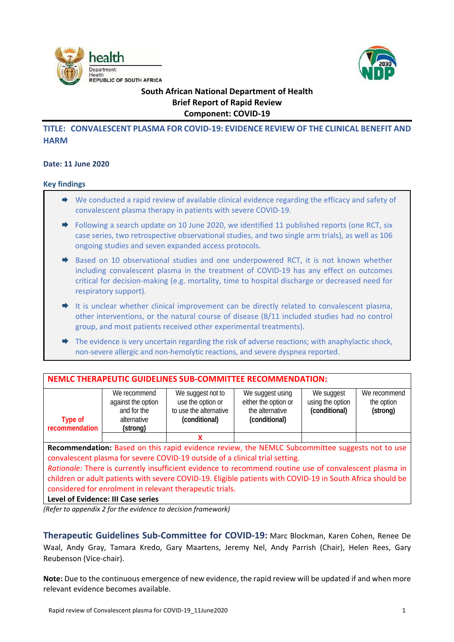



# **South African National Department of Health Brief Report of Rapid Review Component: COVID‐19**

## **TITLE: CONVALESCENT PLASMA FOR COVID‐19: EVIDENCE REVIEW OF THE CLINICAL BENEFIT AND HARM**

#### **Date: 11 June 2020**

#### **Key findings**

- ◆ We conducted a rapid review of available clinical evidence regarding the efficacy and safety of convalescent plasma therapy in patients with severe COVID‐19.
- $\rightarrow$  Following a search update on 10 June 2020, we identified 11 published reports (one RCT, six case series, two retrospective observational studies, and two single arm trials), as well as 106 ongoing studies and seven expanded access protocols.
- $\Rightarrow$  Based on 10 observational studies and one underpowered RCT, it is not known whether including convalescent plasma in the treatment of COVID-19 has any effect on outcomes critical for decision‐making (e.g. mortality, time to hospital discharge or decreased need for respiratory support).
- $\rightarrow$  It is unclear whether clinical improvement can be directly related to convalescent plasma, other interventions, or the natural course of disease (8/11 included studies had no control group, and most patients received other experimental treatments).
- $\rightarrow$  The evidence is very uncertain regarding the risk of adverse reactions; with anaphylactic shock, non‐severe allergic and non‐hemolytic reactions, and severe dyspnea reported.

| <b>NEMLC THERAPEUTIC GUIDELINES SUB-COMMITTEE RECOMMENDATION:</b>                                                                                                               |                                                                              |                                                                                   |                                                                              |                                                 |                                        |  |  |
|---------------------------------------------------------------------------------------------------------------------------------------------------------------------------------|------------------------------------------------------------------------------|-----------------------------------------------------------------------------------|------------------------------------------------------------------------------|-------------------------------------------------|----------------------------------------|--|--|
| Type of<br>recommendation                                                                                                                                                       | We recommend<br>against the option<br>and for the<br>alternative<br>(strong) | We suggest not to<br>use the option or<br>to use the alternative<br>(conditional) | We suggest using<br>either the option or<br>the alternative<br>(conditional) | We suggest<br>using the option<br>(conditional) | We recommend<br>the option<br>(strong) |  |  |
|                                                                                                                                                                                 |                                                                              | x                                                                                 |                                                                              |                                                 |                                        |  |  |
| Recommendation: Based on this rapid evidence review, the NEMLC Subcommittee suggests not to use<br>convalescent plasma for severe COVID-19 outside of a clinical trial setting. |                                                                              |                                                                                   |                                                                              |                                                 |                                        |  |  |
| Rationale: There is currently insufficient evidence to recommend routine use of convalescent plasma in                                                                          |                                                                              |                                                                                   |                                                                              |                                                 |                                        |  |  |
| children or adult patients with severe COVID-19. Eligible patients with COVID-19 in South Africa should be<br>considered for enrolment in relevant therapeutic trials.          |                                                                              |                                                                                   |                                                                              |                                                 |                                        |  |  |

**Level of Evidence: III Case series**

*(Refer to appendix 2 for the evidence to decision framework)* 

**Therapeutic Guidelines Sub‐Committee for COVID‐19:** Marc Blockman, Karen Cohen, Renee De Waal, Andy Gray, Tamara Kredo, Gary Maartens, Jeremy Nel, Andy Parrish (Chair), Helen Rees, Gary Reubenson (Vice‐chair).

**Note:** Due to the continuous emergence of new evidence, the rapid review will be updated if and when more relevant evidence becomes available.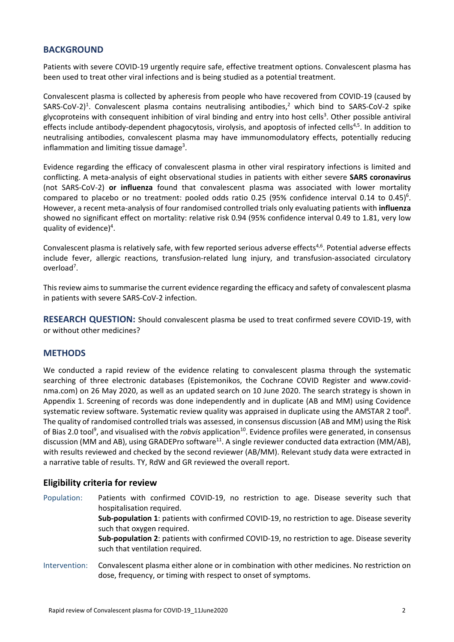## **BACKGROUND**

Patients with severe COVID‐19 urgently require safe, effective treatment options. Convalescent plasma has been used to treat other viral infections and is being studied as a potential treatment.

Convalescent plasma is collected by apheresis from people who have recovered from COVID‐19 (caused by SARS-CoV-2)<sup>1</sup>. Convalescent plasma contains neutralising antibodies,<sup>2</sup> which bind to SARS-CoV-2 spike glycoproteins with consequent inhibition of viral binding and entry into host cells<sup>3</sup>. Other possible antiviral effects include antibody‐dependent phagocytosis, virolysis, and apoptosis of infected cells<sup>4,5</sup>. In addition to neutralising antibodies, convalescent plasma may have immunomodulatory effects, potentially reducing inflammation and limiting tissue damage<sup>3</sup>.

Evidence regarding the efficacy of convalescent plasma in other viral respiratory infections is limited and conflicting. A meta‐analysis of eight observational studies in patients with either severe **SARS coronavirus** (not SARS‐CoV‐2) **or influenza** found that convalescent plasma was associated with lower mortality compared to placebo or no treatment: pooled odds ratio 0.25 (95% confidence interval 0.14 to 0.45)<sup>6</sup>. However, a recent meta‐analysis of four randomised controlled trials only evaluating patients with **influenza** showed no significant effect on mortality: relative risk 0.94 (95% confidence interval 0.49 to 1.81, very low quality of evidence)<sup>4</sup>.

Convalescent plasma is relatively safe, with few reported serious adverse effects<sup>4,6</sup>. Potential adverse effects include fever, allergic reactions, transfusion‐related lung injury, and transfusion‐associated circulatory overload<sup>7</sup>.

This review aims to summarise the current evidence regarding the efficacy and safety of convalescent plasma in patients with severe SARS‐CoV‐2 infection.

**RESEARCH QUESTION:** Should convalescent plasma be used to treat confirmed severe COVID‐19, with or without other medicines?

### **METHODS**

We conducted a rapid review of the evidence relating to convalescent plasma through the systematic searching of three electronic databases (Epistemonikos, the Cochrane COVID Register and www.covidnma.com) on 26 May 2020, as well as an updated search on 10 June 2020. The search strategy is shown in Appendix 1. Screening of records was done independently and in duplicate (AB and MM) using Covidence systematic review software. Systematic review quality was appraised in duplicate using the AMSTAR 2 tool<sup>8</sup>. The quality of randomised controlled trials was assessed, in consensus discussion (AB and MM) using the Risk of Bias 2.0 tool<sup>9</sup>, and visualised with the *robvis* application<sup>10</sup>. Evidence profiles were generated, in consensus discussion (MM and AB), using GRADEPro software<sup>11</sup>. A single reviewer conducted data extraction (MM/AB), with results reviewed and checked by the second reviewer (AB/MM). Relevant study data were extracted in a narrative table of results. TY, RdW and GR reviewed the overall report.

#### **Eligibility criteria for review**

Population: Patients with confirmed COVID-19, no restriction to age. Disease severity such that hospitalisation required. **Sub‐population 1**: patients with confirmed COVID‐19, no restriction to age. Disease severity such that oxygen required. **Sub‐population 2**: patients with confirmed COVID‐19, no restriction to age. Disease severity such that ventilation required. Intervention: Convalescent plasma either alone or in combination with other medicines. No restriction on

dose, frequency, or timing with respect to onset of symptoms.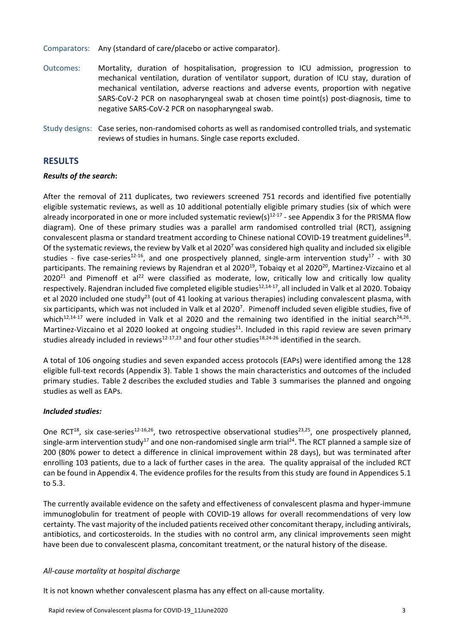Comparators: Any (standard of care/placebo or active comparator).

- Outcomes: Mortality, duration of hospitalisation, progression to ICU admission, progression to mechanical ventilation, duration of ventilator support, duration of ICU stay, duration of mechanical ventilation, adverse reactions and adverse events, proportion with negative SARS-CoV-2 PCR on nasopharyngeal swab at chosen time point(s) post-diagnosis, time to negative SARS‐CoV‐2 PCR on nasopharyngeal swab.
- Study designs: Case series, non-randomised cohorts as well as randomised controlled trials, and systematic reviews of studies in humans. Single case reports excluded.

### **RESULTS**

#### *Results of the search***:**

After the removal of 211 duplicates, two reviewers screened 751 records and identified five potentially eligible systematic reviews, as well as 10 additional potentially eligible primary studies (six of which were already incorporated in one or more included systematic review(s) $12-17$  - see Appendix 3 for the PRISMA flow diagram). One of these primary studies was a parallel arm randomised controlled trial (RCT), assigning convalescent plasma or standard treatment according to Chinese national COVID-19 treatment guidelines<sup>18</sup>. Of the systematic reviews, the review by Valk et al 2020<sup>7</sup> was considered high quality and included six eligible studies - five case-series<sup>12-16</sup>, and one prospectively planned, single-arm intervention study<sup>17</sup> - with 30 participants. The remaining reviews by Rajendran et al 2020<sup>19</sup>, Tobaiqy et al 2020<sup>20</sup>, Martinez-Vizcaino et al  $2020^{21}$  and Pimenoff et al<sup>22</sup> were classified as moderate, low, critically low and critically low quality respectively. Rajendran included five completed eligible studies<sup>12,14-17</sup>, all included in Valk et al 2020. Tobaiqy et al 2020 included one study<sup>23</sup> (out of 41 looking at various therapies) including convalescent plasma, with six participants, which was not included in Valk et al 2020<sup>7</sup>. Pimenoff included seven eligible studies, five of which<sup>12,14-17</sup> were included in Valk et al 2020 and the remaining two identified in the initial search<sup>24,26</sup>. Martinez-Vizcaino et al 2020 looked at ongoing studies<sup>21</sup>. Included in this rapid review are seven primary studies already included in reviews<sup>12-17,23</sup> and four other studies<sup>18,24-26</sup> identified in the search.

A total of 106 ongoing studies and seven expanded access protocols (EAPs) were identified among the 128 eligible full-text records (Appendix 3). Table 1 shows the main characteristics and outcomes of the included primary studies. Table 2 describes the excluded studies and Table 3 summarises the planned and ongoing studies as well as EAPs.

#### *Included studies:*

One RCT<sup>18</sup>, six case-series<sup>12-16,26</sup>, two retrospective observational studies<sup>23,25</sup>, one prospectively planned, single-arm intervention study<sup>17</sup> and one non-randomised single arm trial<sup>24</sup>. The RCT planned a sample size of 200 (80% power to detect a difference in clinical improvement within 28 days), but was terminated after enrolling 103 patients, due to a lack of further cases in the area. The quality appraisal of the included RCT can be found in Appendix 4. The evidence profiles for the results from this study are found in Appendices 5.1 to 5.3.

The currently available evidence on the safety and effectiveness of convalescent plasma and hyper‐immune immunoglobulin for treatment of people with COVID-19 allows for overall recommendations of very low certainty. The vast majority of the included patients received other concomitant therapy, including antivirals, antibiotics, and corticosteroids. In the studies with no control arm, any clinical improvements seen might have been due to convalescent plasma, concomitant treatment, or the natural history of the disease.

#### *All‐cause mortality at hospital discharge*

It is not known whether convalescent plasma has any effect on all-cause mortality.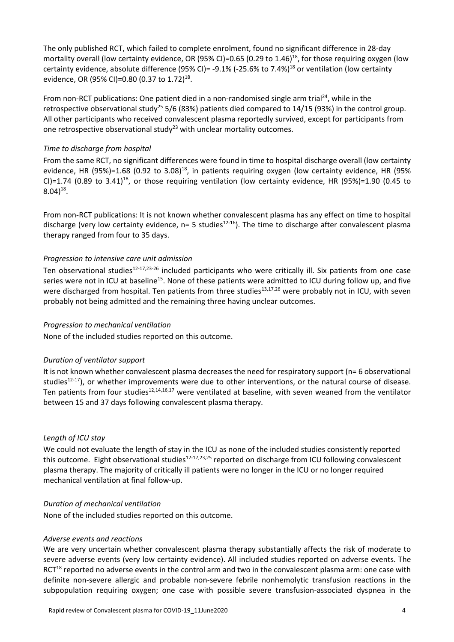The only published RCT, which failed to complete enrolment, found no significant difference in 28‐day mortality overall (low certainty evidence, OR (95% CI)=0.65 (0.29 to 1.46)<sup>18</sup>, for those requiring oxygen (low certainty evidence, absolute difference (95% CI)= -9.1% (-25.6% to 7.4%)<sup>18</sup> or ventilation (low certainty evidence, OR (95% CI)=0.80 (0.37 to 1.72)<sup>18</sup>.

From non-RCT publications: One patient died in a non-randomised single arm trial<sup>24</sup>, while in the retrospective observational study<sup>25</sup> 5/6 (83%) patients died compared to 14/15 (93%) in the control group. All other participants who received convalescent plasma reportedly survived, except for participants from one retrospective observational study<sup>23</sup> with unclear mortality outcomes.

#### *Time to discharge from hospital*

From the same RCT, no significant differences were found in time to hospital discharge overall (low certainty evidence, HR  $(95%)=1.68$   $(0.92 \text{ to } 3.08)^{18}$ , in patients requiring oxygen (low certainty evidence, HR  $(95%$ CI)=1.74 (0.89 to  $3.41$ )<sup>18</sup>, or those requiring ventilation (low certainty evidence, HR (95%)=1.90 (0.45 to  $8.04$ <sup>18</sup>.

From non‐RCT publications: It is not known whether convalescent plasma has any effect on time to hospital discharge (very low certainty evidence,  $n=5$  studies<sup>12-16</sup>). The time to discharge after convalescent plasma therapy ranged from four to 35 days.

#### *Progression to intensive care unit admission*

Ten observational studies $12-17,23-26$  included participants who were critically ill. Six patients from one case series were not in ICU at baseline<sup>15</sup>. None of these patients were admitted to ICU during follow up, and five were discharged from hospital. Ten patients from three studies<sup>13,17,26</sup> were probably not in ICU, with seven probably not being admitted and the remaining three having unclear outcomes.

#### *Progression to mechanical ventilation*

None of the included studies reported on this outcome.

#### *Duration of ventilator support*

It is not known whether convalescent plasma decreases the need for respiratory support (n= 6 observational studies $12-17$ ), or whether improvements were due to other interventions, or the natural course of disease. Ten patients from four studies $12,14,16,17$  were ventilated at baseline, with seven weaned from the ventilator between 15 and 37 days following convalescent plasma therapy.

#### *Length of ICU stay*

We could not evaluate the length of stay in the ICU as none of the included studies consistently reported this outcome. Eight observational studies<sup>12-17,23,25</sup> reported on discharge from ICU following convalescent plasma therapy. The majority of critically ill patients were no longer in the ICU or no longer required mechanical ventilation at final follow‐up.

#### *Duration of mechanical ventilation*

None of the included studies reported on this outcome.

#### *Adverse events and reactions*

We are very uncertain whether convalescent plasma therapy substantially affects the risk of moderate to severe adverse events (very low certainty evidence). All included studies reported on adverse events. The  $RCT<sup>18</sup>$  reported no adverse events in the control arm and two in the convalescent plasma arm: one case with definite non‐severe allergic and probable non‐severe febrile nonhemolytic transfusion reactions in the subpopulation requiring oxygen; one case with possible severe transfusion-associated dyspnea in the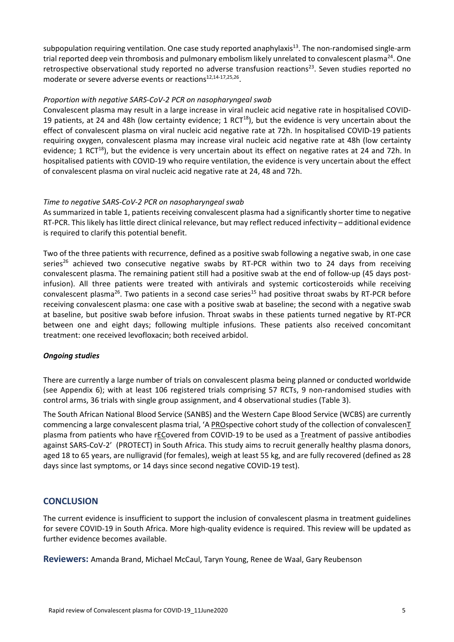subpopulation requiring ventilation. One case study reported anaphylaxis<sup>13</sup>. The non-randomised single-arm trial reported deep vein thrombosis and pulmonary embolism likely unrelated to convalescent plasma<sup>24</sup>. One retrospective observational study reported no adverse transfusion reactions<sup>23</sup>. Seven studies reported no moderate or severe adverse events or reactions<sup>12,14-17,25,26</sup>.

#### *Proportion with negative SARS‐CoV‐2 PCR on nasopharyngeal swab*

Convalescent plasma may result in a large increase in viral nucleic acid negative rate in hospitalised COVID‐ 19 patients, at 24 and 48h (low certainty evidence; 1 RCT $^{18}$ ), but the evidence is very uncertain about the effect of convalescent plasma on viral nucleic acid negative rate at 72h. In hospitalised COVID‐19 patients requiring oxygen, convalescent plasma may increase viral nucleic acid negative rate at 48h (low certainty evidence; 1 RCT<sup>18</sup>), but the evidence is very uncertain about its effect on negative rates at 24 and 72h. In hospitalised patients with COVID‐19 who require ventilation, the evidence is very uncertain about the effect of convalescent plasma on viral nucleic acid negative rate at 24, 48 and 72h.

#### *Time to negative SARS‐CoV‐2 PCR on nasopharyngeal swab*

As summarized in table 1, patients receiving convalescent plasma had a significantly shorter time to negative RT‐PCR. This likely has little direct clinical relevance, but may reflect reduced infectivity – additional evidence is required to clarify this potential benefit.

Two of the three patients with recurrence, defined as a positive swab following a negative swab, in one case series<sup>26</sup> achieved two consecutive negative swabs by RT-PCR within two to 24 days from receiving convalescent plasma. The remaining patient still had a positive swab at the end of follow-up (45 days postinfusion). All three patients were treated with antivirals and systemic corticosteroids while receiving convalescent plasma<sup>26</sup>. Two patients in a second case series<sup>15</sup> had positive throat swabs by RT-PCR before receiving convalescent plasma: one case with a positive swab at baseline; the second with a negative swab at baseline, but positive swab before infusion. Throat swabs in these patients turned negative by RT‐PCR between one and eight days; following multiple infusions. These patients also received concomitant treatment: one received levofloxacin; both received arbidol.

#### *Ongoing studies*

There are currently a large number of trials on convalescent plasma being planned or conducted worldwide (see Appendix 6); with at least 106 registered trials comprising 57 RCTs, 9 non-randomised studies with control arms, 36 trials with single group assignment, and 4 observational studies (Table 3).

The South African National Blood Service (SANBS) and the Western Cape Blood Service (WCBS) are currently commencing a large convalescent plasma trial, 'A PROspective cohort study of the collection of convalescenT plasma from patients who have rECovered from COVID-19 to be used as a Treatment of passive antibodies against SARS-CoV-2' (PROTECT) in South Africa. This study aims to recruit generally healthy plasma donors, aged 18 to 65 years, are nulligravid (for females), weigh at least 55 kg, and are fully recovered (defined as 28 days since last symptoms, or 14 days since second negative COVID‐19 test).

### **CONCLUSION**

The current evidence is insufficient to support the inclusion of convalescent plasma in treatment guidelines for severe COVID‐19 in South Africa. More high‐quality evidence is required. This review will be updated as further evidence becomes available.

**Reviewers:** Amanda Brand, Michael McCaul, Taryn Young, Renee de Waal, Gary Reubenson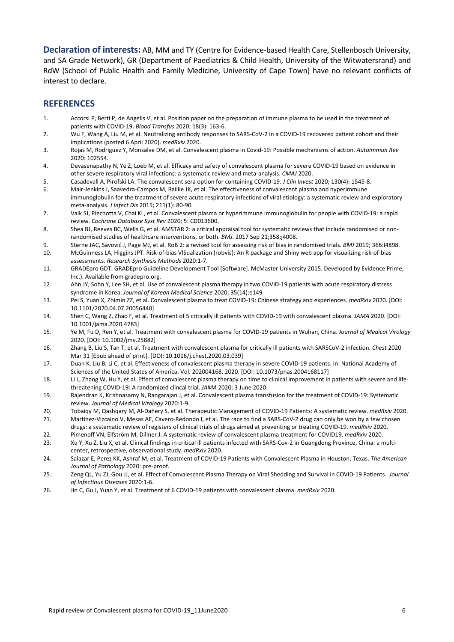**Declaration of interests:** AB, MM and TY (Centre for Evidence‐based Health Care, Stellenbosch University, and SA Grade Network), GR (Department of Paediatrics & Child Health, University of the Witwatersrand) and RdW (School of Public Health and Family Medicine, University of Cape Town) have no relevant conflicts of interest to declare.

### **REFERENCES**

- 1. Accorsi P, Berti P, de Angelis V, et al. Position paper on the preparation of immune plasma to be used in the treatment of patients with COVID‐19. *Blood Transfus* 2020; 18(3): 163‐6.
- 2. Wu F, Wang A, Liu M, et al. Neutralizing antibody responses to SARS-CoV-2 in a COVID-19 recovered patient cohort and their implications (posted 6 April 2020). *medRxiv* 2020.
- 3. Rojas M, Rodriguez Y, Monsalve DM, et al. Convalescent plasma in Covid‐19: Possible mechanisms of action. *Autoimmun Rev* 2020: 102554.
- 4. Devasenapathy N, Ye Z, Loeb M, et al. Efficacy and safety of convalescent plasma for severe COVID‐19 based on evidence in other severe respiratory viral infections: a systematic review and meta‐analysis. *CMAJ* 2020.
- 5. Casadevall A, Pirofski LA. The convalescent sera option for containing COVID‐19. *J Clin Invest* 2020; 130(4): 1545‐8.
- 6. Mair‐Jenkins J, Saavedra‐Campos M, Baillie JK, et al. The effectiveness of convalescent plasma and hyperimmune immunoglobulin for the treatment of severe acute respiratory infections of viral etiology: a systematic review and exploratory meta‐analysis. *J Infect Dis* 2015; 211(1): 80‐90.
- 7. Valk SJ, Piechotta V, Chai KL, et al. Convalescent plasma or hyperimmune immunoglobulin for people with COVID‐19: a rapid review. *Cochrane Database Syst Rev* 2020; 5: CD013600.
- 8. Shea BJ, Reeves BC, Wells G, et al. AMSTAR 2: a critical appraisal tool for systematic reviews that include randomised or nonrandomised studies of healthcare interventions, or both. *BMJ*. 2017 Sep 21;358:j4008.
- 9. Sterne JAC, Savović J, Page MJ, et al. RoB 2: a revised tool for assessing risk of bias in randomised trials. *BMJ* 2019; 366:I4898.
- 10. McGuinness LA, Higgins JPT. Risk‐of‐bias VISualization (robvis): An R package and Shiny web app for visualizing risk‐of‐bias assessments. *Research Synthesis Methods* 2020:1‐7.
- 11. GRADEpro GDT: GRADEpro Guideline Development Tool [Software]. McMaster University 2015. Developed by Evidence Prime, Inc.). Available from gradepro.org.
- 12. Ahn JY, Sohn Y, Lee SH, et al. Use of convalescent plasma therapy in two COVID‐19 patients with acute respiratory distress syndrome in Korea. *Journal of Korean Medical Science* 2020; 35(14):e149
- 13. Pei S, Yuan X, Zhimin ZZ, et al. Convalescent plasma to treat COVID‐19: Chinese strategy and experiences. *medRxiv* 2020. [DOI: 10.1101/2020.04.07.20056440]
- 14. Shen C, Wang Z, Zhao F, et al. Treatment of 5 critically ill patients with COVID‐19 with convalescent plasma. *JAMA* 2020. [DOI: 10.1001/jama.2020.4783]
- 15. Ye M, Fu D, Ren Y, et al. Treatment with convalescent plasma for COVID‐19 patients in Wuhan, China. *Journal of Medical Virology* 2020. [DOI: 10.1002/jmv.25882]
- 16. Zhang B, Liu S, Tan T, et al. Treatment with convalescent plasma for critically ill patients with SARSCoV‐2 infection. *Chest* 2020 Mar 31 [Epub ahead of print]. [DOI: 10.1016/j.chest.2020.03.039]
- 17. Duan K, Liu B, Li C, et al. Effectiveness of convalescent plasma therapy in severe COVID‐19 patients. In: National Academy of Sciences of the United States of America. Vol. 202004168. 2020. [DOI: 10.1073/pnas.2004168117]
- 18. Li L, Zhang W, Hu Y, et al. Effect of convalescent plasma therapy on time to clinical improvement in patients with severe and lifethreatening COVID‐19: A randomized clincal trial. *JAMA* 2020; 3 June 2020.
- 19. Rajendran K, Krishnasamy N, Rangarajan J, et al. Convalescent plasma transfusion for the treatment of COVID‐19: Systematic review. *Journal of Medical Virology* 2020:1‐9.
- 20. Tobaiqy M, Qashqary M, Al‐Dahery S, et al. Therapeutic Management of COVID‐19 Patients: A systematic review. *medRxiv* 2020.
- 21. Martinez-Vizcaino V, Mesas AE, Cavero-Redondo I, et al. The race to find a SARS-CoV-2 drug can only be won by a few chosen drugs: a systematic review of registers of clinical trials of drugs aimed at preventing or treating COVID‐19. *medRxiv* 2020.
- 22. Pimenoff VN, Elfström M, Dillner J. A systematic review of convalescent plasma treatment for COVID19. *medRxiv* 2020. 23. Xu Y, Xu Z, Liu X, et al. Clinical findings in critical ill patients infected with SARS-Cov-2 in Guangdong Province, China: a multicenter, retrospective, observational study. *medRxiv* 2020.
- 24. Salazar E, Perez KK, Ashraf M, et al. Treatment of COVID‐19 Patients with Convalescent Plasma in Houston, Texas. *The American Journal of Pathology* 2020: pre‐proof.
- 25. Zeng QL, Yu ZJ, Gou JJ, et al. Effect of Convalescent Plasma Therapy on Viral Shedding and Survival in COVID‐19 Patients.  *Journal of Infectious Diseases* 2020:1‐6.
- 26. Jin C, Gu J, Yuan Y, et al. Treatment of 6 COVID‐19 patients with convalescent plasma. *medRxiv* 2020.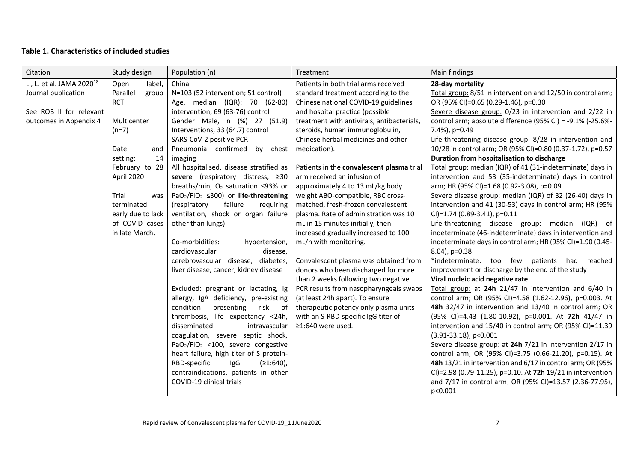#### **Table 1. Characteristics of included studies**

| Citation                              | Study design      | Population (n)                                                     | Treatment                                  | Main findings                                               |
|---------------------------------------|-------------------|--------------------------------------------------------------------|--------------------------------------------|-------------------------------------------------------------|
| Li, L. et al. JAMA 2020 <sup>18</sup> | label,<br>Open    | China                                                              | Patients in both trial arms received       | 28-day mortality                                            |
| Journal publication                   | Parallel<br>group | N=103 (52 intervention; 51 control)                                | standard treatment according to the        | Total group: 8/51 in intervention and 12/50 in control arm; |
|                                       | <b>RCT</b>        | Age, median (IQR): 70 (62-80)                                      | Chinese national COVID-19 guidelines       | OR (95% CI)=0.65 (0.29-1.46), p=0.30                        |
| See ROB II for relevant               |                   | intervention; 69 (63-76) control                                   | and hospital practice (possible            | Severe disease group: 0/23 in intervention and 2/22 in      |
| outcomes in Appendix 4                | Multicenter       | Gender Male, n (%) 27 (51.9)                                       | treatment with antivirals, antibacterials, | control arm; absolute difference (95% CI) = -9.1% (-25.6%-  |
|                                       | $(n=7)$           | Interventions, 33 (64.7) control                                   | steroids, human immunoglobulin,            | 7.4%), p=0.49                                               |
|                                       |                   | SARS-CoV-2 positive PCR                                            | Chinese herbal medicines and other         | Life-threatening disease group: 8/28 in intervention and    |
|                                       | Date<br>and       | Pneumonia confirmed<br>by chest                                    | medication).                               | 10/28 in control arm; OR (95% CI)=0.80 (0.37-1.72), p=0.57  |
|                                       | setting:<br>14    | imaging                                                            |                                            | Duration from hospitalisation to discharge                  |
|                                       | February to 28    | All hospitalised, disease stratified as                            | Patients in the convalescent plasma trial  | Total group: median (IQR) of 41 (31-indeterminate) days in  |
|                                       | April 2020        | severe (respiratory distress; ≥30                                  | arm received an infusion of                | intervention and 53 (35-indeterminate) days in control      |
|                                       |                   | breaths/min, $O_2$ saturation ≤93% or                              | approximately 4 to 13 mL/kg body           | arm; HR (95% CI)=1.68 (0.92-3.08), p=0.09                   |
|                                       | Trial<br>was      | PaO <sub>2</sub> /FIO <sub>2</sub> $\leq$ 300) or life-threatening | weight ABO-compatible, RBC cross-          | Severe disease group: median (IQR) of 32 (26-40) days in    |
|                                       | terminated        | (respiratory<br>failure<br>requiring                               | matched, fresh-frozen convalescent         | intervention and 41 (30-53) days in control arm; HR (95%    |
|                                       | early due to lack | ventilation, shock or organ failure                                | plasma. Rate of administration was 10      | $Cl$ )=1.74 (0.89-3.41), p=0.11                             |
|                                       | of COVID cases    | other than lungs)                                                  | mL in 15 minutes initially, then           | Life-threatening disease group: median (IQR) of             |
|                                       | in late March.    |                                                                    | increased gradually increased to 100       | indeterminate (46-indeterminate) days in intervention and   |
|                                       |                   | Co-morbidities:<br>hypertension,                                   | mL/h with monitoring.                      | indeterminate days in control arm; HR (95% CI)=1.90 (0.45-  |
|                                       |                   | cardiovascular<br>disease,                                         |                                            | 8.04), p=0.38                                               |
|                                       |                   | cerebrovascular disease, diabetes,                                 | Convalescent plasma was obtained from      | *indeterminate: too few patients had reached                |
|                                       |                   | liver disease, cancer, kidney disease                              | donors who been discharged for more        | improvement or discharge by the end of the study            |
|                                       |                   |                                                                    | than 2 weeks following two negative        | Viral nucleic acid negative rate                            |
|                                       |                   | Excluded: pregnant or lactating, Ig                                | PCR results from nasopharyngeals swabs     | Total group: at 24h 21/47 in intervention and 6/40 in       |
|                                       |                   | allergy, IgA deficiency, pre-existing                              | (at least 24h apart). To ensure            | control arm; OR (95% CI)=4.58 (1.62-12.96), p=0.003. At     |
|                                       |                   | condition<br>presenting<br>risk of                                 | therapeutic potency only plasma units      | 48h 32/47 in intervention and 13/40 in control arm; OR      |
|                                       |                   | thrombosis, life expectancy <24h,                                  | with an S-RBD-specific IgG titer of        | (95% CI)=4.43 (1.80-10.92), p=0.001. At 72h 41/47 in        |
|                                       |                   | disseminated<br>intravascular                                      | ≥1:640 were used.                          | intervention and 15/40 in control arm; OR (95% CI)=11.39    |
|                                       |                   | coagulation, severe septic shock,                                  |                                            | $(3.91 - 33.18)$ , p<0.001                                  |
|                                       |                   | PaO <sub>2</sub> /FIO <sub>2</sub> <100, severe congestive         |                                            | Severe disease group: at 24h 7/21 in intervention 2/17 in   |
|                                       |                   | heart failure, high titer of S protein-                            |                                            | control arm; OR (95% CI)=3.75 (0.66-21.20), p=0.15). At     |
|                                       |                   | RBD-specific<br>IgG<br>$(≥1:640)$ ,                                |                                            | 48h 13/21 in intervention and 6/17 in control arm; OR (95%  |
|                                       |                   | contraindications, patients in other                               |                                            | CI)=2.98 (0.79-11.25), p=0.10. At 72h 19/21 in intervention |
|                                       |                   | COVID-19 clinical trials                                           |                                            | and 7/17 in control arm; OR (95% CI)=13.57 (2.36-77.95),    |
|                                       |                   |                                                                    |                                            | p<0.001                                                     |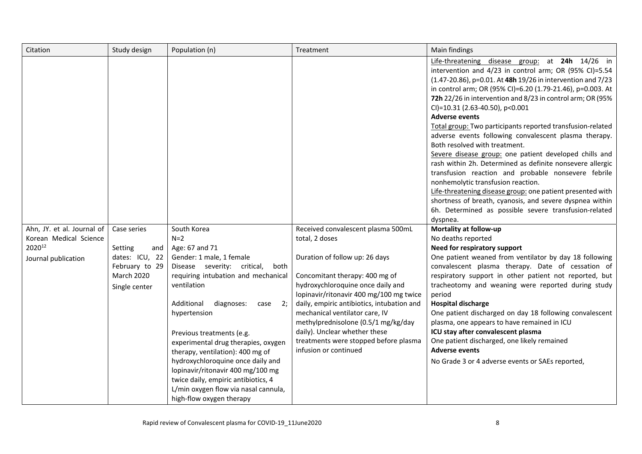| Citation                                                                              | Study design                                                                                     | Population (n)                                                                                                                                                                                                                                                                                                                                                                                                                                                                                                         | Treatment                                                                                                                                                                                                                                                                                                                                                                                                                          | Main findings                                                                                                                                                                                                                                                                                                                                                                                                                                                                                                                                                                                                                                                                                                                                                                                                                                                                                                                               |
|---------------------------------------------------------------------------------------|--------------------------------------------------------------------------------------------------|------------------------------------------------------------------------------------------------------------------------------------------------------------------------------------------------------------------------------------------------------------------------------------------------------------------------------------------------------------------------------------------------------------------------------------------------------------------------------------------------------------------------|------------------------------------------------------------------------------------------------------------------------------------------------------------------------------------------------------------------------------------------------------------------------------------------------------------------------------------------------------------------------------------------------------------------------------------|---------------------------------------------------------------------------------------------------------------------------------------------------------------------------------------------------------------------------------------------------------------------------------------------------------------------------------------------------------------------------------------------------------------------------------------------------------------------------------------------------------------------------------------------------------------------------------------------------------------------------------------------------------------------------------------------------------------------------------------------------------------------------------------------------------------------------------------------------------------------------------------------------------------------------------------------|
|                                                                                       |                                                                                                  |                                                                                                                                                                                                                                                                                                                                                                                                                                                                                                                        |                                                                                                                                                                                                                                                                                                                                                                                                                                    | Life-threatening disease group: at 24h 14/26 in<br>intervention and 4/23 in control arm; OR (95% CI)=5.54<br>(1.47-20.86), p=0.01. At 48h 19/26 in intervention and 7/23<br>in control arm; OR (95% CI)=6.20 (1.79-21.46), p=0.003. At<br>72h 22/26 in intervention and 8/23 in control arm; OR (95%<br>CI)=10.31 (2.63-40.50), p<0.001<br><b>Adverse events</b><br>Total group: Two participants reported transfusion-related<br>adverse events following convalescent plasma therapy.<br>Both resolved with treatment.<br>Severe disease group: one patient developed chills and<br>rash within 2h. Determined as definite nonsevere allergic<br>transfusion reaction and probable nonsevere febrile<br>nonhemolytic transfusion reaction.<br>Life-threatening disease group: one patient presented with<br>shortness of breath, cyanosis, and severe dyspnea within<br>6h. Determined as possible severe transfusion-related<br>dyspnea. |
| Ahn, JY. et al. Journal of<br>Korean Medical Science<br>202012<br>Journal publication | Case series<br>Setting<br>and<br>dates: ICU, 22<br>February to 29<br>March 2020<br>Single center | South Korea<br>$N=2$<br>Age: 67 and 71<br>Gender: 1 male, 1 female<br>Disease severity: critical,<br>both<br>requiring intubation and mechanical<br>ventilation<br>Additional<br>diagnoses:<br>2;<br>case<br>hypertension<br>Previous treatments (e.g.<br>experimental drug therapies, oxygen<br>therapy, ventilation): 400 mg of<br>hydroxychloroquine once daily and<br>lopinavir/ritonavir 400 mg/100 mg<br>twice daily, empiric antibiotics, 4<br>L/min oxygen flow via nasal cannula,<br>high-flow oxygen therapy | Received convalescent plasma 500mL<br>total, 2 doses<br>Duration of follow up: 26 days<br>Concomitant therapy: 400 mg of<br>hydroxychloroquine once daily and<br>lopinavir/ritonavir 400 mg/100 mg twice<br>daily, empiric antibiotics, intubation and<br>mechanical ventilator care, IV<br>methylprednisolone (0.5/1 mg/kg/day<br>daily). Unclear whether these<br>treatments were stopped before plasma<br>infusion or continued | Mortality at follow-up<br>No deaths reported<br>Need for respiratory support<br>One patient weaned from ventilator by day 18 following<br>convalescent plasma therapy. Date of cessation of<br>respiratory support in other patient not reported, but<br>tracheotomy and weaning were reported during study<br>period<br><b>Hospital discharge</b><br>One patient discharged on day 18 following convalescent<br>plasma, one appears to have remained in ICU<br>ICU stay after convalescent plasma<br>One patient discharged, one likely remained<br><b>Adverse events</b><br>No Grade 3 or 4 adverse events or SAEs reported,                                                                                                                                                                                                                                                                                                              |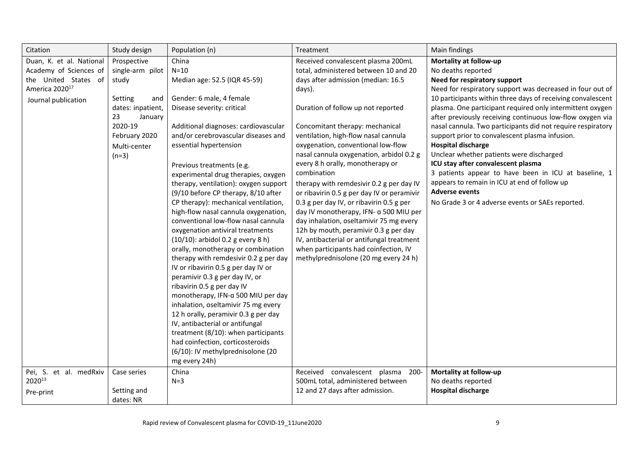| Citation                                                                                                                                                                        | Population (n)                                                                                                                                                                                                                                                                                                                                                                                                                                                                                                                                                                                                                                                                                                                                                                                                                                                                                                                                                                | Study design                                                                          | Treatment                                                                                                                                                                                                                                                                                                                                                                                                                                                                                                                                                                                                                                                                                                                                                                            | Main findings                                                                                                                                                                                                                                                                                                                                                                                                                                                                                                                                                                                                                                                                                                                                           |
|---------------------------------------------------------------------------------------------------------------------------------------------------------------------------------|-------------------------------------------------------------------------------------------------------------------------------------------------------------------------------------------------------------------------------------------------------------------------------------------------------------------------------------------------------------------------------------------------------------------------------------------------------------------------------------------------------------------------------------------------------------------------------------------------------------------------------------------------------------------------------------------------------------------------------------------------------------------------------------------------------------------------------------------------------------------------------------------------------------------------------------------------------------------------------|---------------------------------------------------------------------------------------|--------------------------------------------------------------------------------------------------------------------------------------------------------------------------------------------------------------------------------------------------------------------------------------------------------------------------------------------------------------------------------------------------------------------------------------------------------------------------------------------------------------------------------------------------------------------------------------------------------------------------------------------------------------------------------------------------------------------------------------------------------------------------------------|---------------------------------------------------------------------------------------------------------------------------------------------------------------------------------------------------------------------------------------------------------------------------------------------------------------------------------------------------------------------------------------------------------------------------------------------------------------------------------------------------------------------------------------------------------------------------------------------------------------------------------------------------------------------------------------------------------------------------------------------------------|
| Duan, K. et al. National<br>Academy of Sciences of<br>the United States of<br>study<br>America 2020 <sup>17</sup><br>Setting<br>Journal publication<br>23<br>2020-19<br>$(n=3)$ | China<br>$N=10$<br>Median age: 52.5 (IQR 45-59)<br>Gender: 6 male, 4 female<br>and<br>Disease severity: critical<br>January<br>Additional diagnoses: cardiovascular<br>and/or cerebrovascular diseases and<br>essential hypertension<br>Previous treatments (e.g.<br>experimental drug therapies, oxygen<br>therapy, ventilation): oxygen support<br>(9/10 before CP therapy, 8/10 after<br>CP therapy): mechanical ventilation,<br>high-flow nasal cannula oxygenation,<br>conventional low-flow nasal cannula<br>oxygenation antiviral treatments<br>(10/10): arbidol 0.2 g every 8 h)<br>orally, monotherapy or combination<br>therapy with remdesivir 0.2 g per day<br>IV or ribavirin 0.5 g per day IV or<br>peramivir 0.3 g per day IV, or<br>ribavirin 0.5 g per day IV<br>monotherapy, IFN-a 500 MIU per day<br>inhalation, oseltamivir 75 mg every<br>12 h orally, peramivir 0.3 g per day<br>IV, antibacterial or antifungal<br>treatment (8/10): when participants | Prospective<br>single-arm pilot<br>dates: inpatient,<br>February 2020<br>Multi-center | Received convalescent plasma 200mL<br>total, administered between 10 and 20<br>days after admission (median: 16.5<br>days).<br>Duration of follow up not reported<br>Concomitant therapy: mechanical<br>ventilation, high-flow nasal cannula<br>oxygenation, conventional low-flow<br>nasal cannula oxygenation, arbidol 0.2 g<br>every 8 h orally, monotherapy or<br>combination<br>therapy with remdesivir 0.2 g per day IV<br>or ribavirin 0.5 g per day IV or peramivir<br>0.3 g per day IV, or ribavirin 0.5 g per<br>day IV monotherapy, IFN- a 500 MIU per<br>day inhalation, oseltamivir 75 mg every<br>12h by mouth, peramivir 0.3 g per day<br>IV, antibacterial or antifungal treatment<br>when participants had coinfection, IV<br>methylprednisolone (20 mg every 24 h) | Mortality at follow-up<br>No deaths reported<br>Need for respiratory support<br>Need for respiratory support was decreased in four out of<br>10 participants within three days of receiving convalescent<br>plasma. One participant required only intermittent oxygen<br>after previously receiving continuous low-flow oxygen via<br>nasal cannula. Two participants did not require respiratory<br>support prior to convalescent plasma infusion.<br><b>Hospital discharge</b><br>Unclear whether patients were discharged<br>ICU stay after convalescent plasma<br>3 patients appear to have been in ICU at baseline, 1<br>appears to remain in ICU at end of follow up<br><b>Adverse events</b><br>No Grade 3 or 4 adverse events or SAEs reported. |
|                                                                                                                                                                                 | had coinfection, corticosteroids<br>(6/10): IV methylprednisolone (20<br>mg every 24h)                                                                                                                                                                                                                                                                                                                                                                                                                                                                                                                                                                                                                                                                                                                                                                                                                                                                                        |                                                                                       |                                                                                                                                                                                                                                                                                                                                                                                                                                                                                                                                                                                                                                                                                                                                                                                      |                                                                                                                                                                                                                                                                                                                                                                                                                                                                                                                                                                                                                                                                                                                                                         |
| Pei, S. et al. medRxiv<br>202013<br>Pre-print                                                                                                                                   | China<br>$N=3$                                                                                                                                                                                                                                                                                                                                                                                                                                                                                                                                                                                                                                                                                                                                                                                                                                                                                                                                                                | Case series<br>Setting and<br>dates: NR                                               | Received convalescent plasma<br>-200<br>500mL total, administered between<br>12 and 27 days after admission.                                                                                                                                                                                                                                                                                                                                                                                                                                                                                                                                                                                                                                                                         | Mortality at follow-up<br>No deaths reported<br><b>Hospital discharge</b>                                                                                                                                                                                                                                                                                                                                                                                                                                                                                                                                                                                                                                                                               |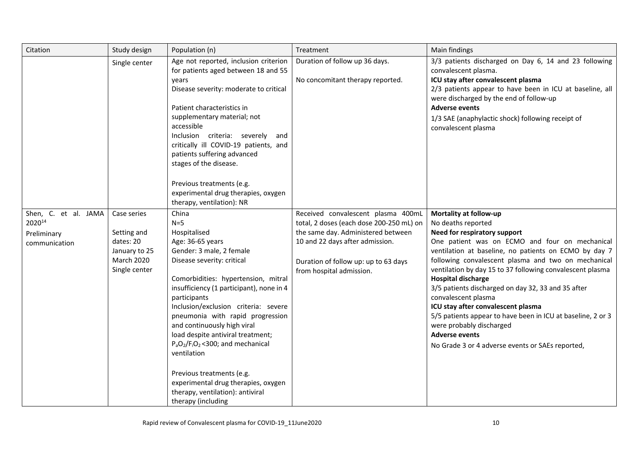| Citation                                                       | Study design                                                                            | Population (n)                                                                                                                                                                                                                                                                                                                                                                                                                                                                                                                                       | Treatment                                                                                                                                                                                                                   | Main findings                                                                                                                                                                                                                                                                                                                                                                                                                                                                                                                                                                                                                       |
|----------------------------------------------------------------|-----------------------------------------------------------------------------------------|------------------------------------------------------------------------------------------------------------------------------------------------------------------------------------------------------------------------------------------------------------------------------------------------------------------------------------------------------------------------------------------------------------------------------------------------------------------------------------------------------------------------------------------------------|-----------------------------------------------------------------------------------------------------------------------------------------------------------------------------------------------------------------------------|-------------------------------------------------------------------------------------------------------------------------------------------------------------------------------------------------------------------------------------------------------------------------------------------------------------------------------------------------------------------------------------------------------------------------------------------------------------------------------------------------------------------------------------------------------------------------------------------------------------------------------------|
|                                                                | Single center                                                                           | Age not reported, inclusion criterion<br>for patients aged between 18 and 55<br>years<br>Disease severity: moderate to critical<br>Patient characteristics in<br>supplementary material; not<br>accessible<br>Inclusion criteria: severely<br>and<br>critically ill COVID-19 patients, and<br>patients suffering advanced<br>stages of the disease.<br>Previous treatments (e.g.<br>experimental drug therapies, oxygen<br>therapy, ventilation): NR                                                                                                 | Duration of follow up 36 days.<br>No concomitant therapy reported.                                                                                                                                                          | 3/3 patients discharged on Day 6, 14 and 23 following<br>convalescent plasma.<br>ICU stay after convalescent plasma<br>2/3 patients appear to have been in ICU at baseline, all<br>were discharged by the end of follow-up<br><b>Adverse events</b><br>1/3 SAE (anaphylactic shock) following receipt of<br>convalescent plasma                                                                                                                                                                                                                                                                                                     |
| Shen, C. et al. JAMA<br>202014<br>Preliminary<br>communication | Case series<br>Setting and<br>dates: 20<br>January to 25<br>March 2020<br>Single center | China<br>$N=5$<br>Hospitalised<br>Age: 36-65 years<br>Gender: 3 male, 2 female<br>Disease severity: critical<br>Comorbidities: hypertension, mitral<br>insufficiency (1 participant), none in 4<br>participants<br>Inclusion/exclusion criteria: severe<br>pneumonia with rapid progression<br>and continuously high viral<br>load despite antiviral treatment;<br>$P_aO_2/F_1O_2$ <300; and mechanical<br>ventilation<br>Previous treatments (e.g.<br>experimental drug therapies, oxygen<br>therapy, ventilation): antiviral<br>therapy (including | Received convalescent plasma 400mL<br>total, 2 doses (each dose 200-250 mL) on<br>the same day. Administered between<br>10 and 22 days after admission.<br>Duration of follow up: up to 63 days<br>from hospital admission. | Mortality at follow-up<br>No deaths reported<br>Need for respiratory support<br>One patient was on ECMO and four on mechanical<br>ventilation at baseline, no patients on ECMO by day 7<br>following convalescent plasma and two on mechanical<br>ventilation by day 15 to 37 following convalescent plasma<br><b>Hospital discharge</b><br>3/5 patients discharged on day 32, 33 and 35 after<br>convalescent plasma<br>ICU stay after convalescent plasma<br>5/5 patients appear to have been in ICU at baseline, 2 or 3<br>were probably discharged<br><b>Adverse events</b><br>No Grade 3 or 4 adverse events or SAEs reported, |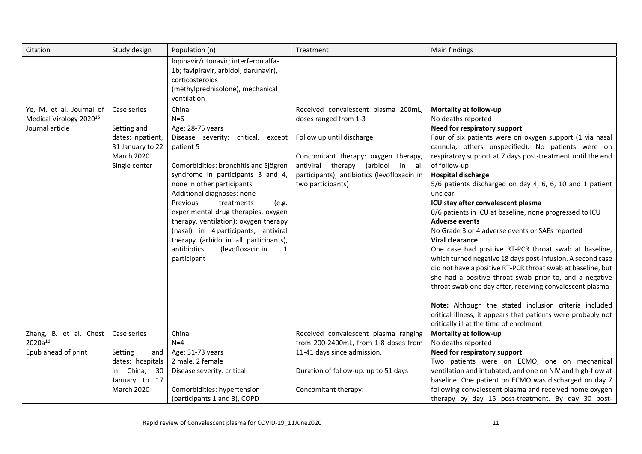| Citation                                                                           | Study design                                                                                              | Population (n)                                                                                                                                                                                                                                                                                                                                                                                                                                                                              | Treatment                                                                                                                                                                                                                                     | Main findings                                                                                                                                                                                                                                                                                                                                                                                                                                                                                                                                                                                                                                                                                                                                                                                                                                                                                                                                                                                                                                                           |
|------------------------------------------------------------------------------------|-----------------------------------------------------------------------------------------------------------|---------------------------------------------------------------------------------------------------------------------------------------------------------------------------------------------------------------------------------------------------------------------------------------------------------------------------------------------------------------------------------------------------------------------------------------------------------------------------------------------|-----------------------------------------------------------------------------------------------------------------------------------------------------------------------------------------------------------------------------------------------|-------------------------------------------------------------------------------------------------------------------------------------------------------------------------------------------------------------------------------------------------------------------------------------------------------------------------------------------------------------------------------------------------------------------------------------------------------------------------------------------------------------------------------------------------------------------------------------------------------------------------------------------------------------------------------------------------------------------------------------------------------------------------------------------------------------------------------------------------------------------------------------------------------------------------------------------------------------------------------------------------------------------------------------------------------------------------|
|                                                                                    |                                                                                                           | lopinavir/ritonavir; interferon alfa-<br>1b; favipiravir, arbidol; darunavir),<br>corticosteroids<br>(methylprednisolone), mechanical<br>ventilation                                                                                                                                                                                                                                                                                                                                        |                                                                                                                                                                                                                                               |                                                                                                                                                                                                                                                                                                                                                                                                                                                                                                                                                                                                                                                                                                                                                                                                                                                                                                                                                                                                                                                                         |
| Ye, M. et al. Journal of<br>Medical Virology 2020 <sup>15</sup><br>Journal article | Case series<br>Setting and<br>dates: inpatient,<br>31 January to 22<br><b>March 2020</b><br>Single center | China<br>$N=6$<br>Age: 28-75 years<br>Disease severity: critical, except<br>patient 5<br>Comorbidities: bronchitis and Sjögren<br>syndrome in participants 3 and 4,<br>none in other participants<br>Additional diagnoses: none<br>Previous<br>treatments<br>(e.g.<br>experimental drug therapies, oxygen<br>therapy, ventilation): oxygen therapy<br>(nasal) in 4 participants, antiviral<br>therapy (arbidol in all participants),<br>(levofloxacin in<br>antibiotics<br>1<br>participant | Received convalescent plasma 200mL,<br>doses ranged from 1-3<br>Follow up until discharge<br>Concomitant therapy: oxygen therapy,<br>antiviral therapy (arbidol<br>in all<br>participants), antibiotics (levofloxacin in<br>two participants) | Mortality at follow-up<br>No deaths reported<br>Need for respiratory support<br>Four of six patients were on oxygen support (1 via nasal<br>cannula, others unspecified). No patients were on<br>respiratory support at 7 days post-treatment until the end<br>of follow-up<br><b>Hospital discharge</b><br>5/6 patients discharged on day 4, 6, 6, 10 and 1 patient<br>unclear<br>ICU stay after convalescent plasma<br>0/6 patients in ICU at baseline, none progressed to ICU<br><b>Adverse events</b><br>No Grade 3 or 4 adverse events or SAEs reported<br><b>Viral clearance</b><br>One case had positive RT-PCR throat swab at baseline,<br>which turned negative 18 days post-infusion. A second case<br>did not have a positive RT-PCR throat swab at baseline, but<br>she had a positive throat swab prior to, and a negative<br>throat swab one day after, receiving convalescent plasma<br>Note: Although the stated inclusion criteria included<br>critical illness, it appears that patients were probably not<br>critically ill at the time of enrolment |
| Zhang, B. et al. Chest<br>2020a <sup>16</sup>                                      | Case series                                                                                               | China<br>$N=4$                                                                                                                                                                                                                                                                                                                                                                                                                                                                              | Received convalescent plasma ranging<br>from 200-2400mL, from 1-8 doses from                                                                                                                                                                  | Mortality at follow-up<br>No deaths reported                                                                                                                                                                                                                                                                                                                                                                                                                                                                                                                                                                                                                                                                                                                                                                                                                                                                                                                                                                                                                            |
| Epub ahead of print                                                                | Setting<br>and                                                                                            | Age: 31-73 years                                                                                                                                                                                                                                                                                                                                                                                                                                                                            | 11-41 days since admission.                                                                                                                                                                                                                   | Need for respiratory support                                                                                                                                                                                                                                                                                                                                                                                                                                                                                                                                                                                                                                                                                                                                                                                                                                                                                                                                                                                                                                            |
|                                                                                    | dates: hospitals                                                                                          | 2 male, 2 female                                                                                                                                                                                                                                                                                                                                                                                                                                                                            |                                                                                                                                                                                                                                               | Two patients were on ECMO, one on mechanical                                                                                                                                                                                                                                                                                                                                                                                                                                                                                                                                                                                                                                                                                                                                                                                                                                                                                                                                                                                                                            |
|                                                                                    | in China,<br>30                                                                                           | Disease severity: critical                                                                                                                                                                                                                                                                                                                                                                                                                                                                  | Duration of follow-up: up to 51 days                                                                                                                                                                                                          | ventilation and intubated, and one on NIV and high-flow at                                                                                                                                                                                                                                                                                                                                                                                                                                                                                                                                                                                                                                                                                                                                                                                                                                                                                                                                                                                                              |
|                                                                                    | January to 17                                                                                             |                                                                                                                                                                                                                                                                                                                                                                                                                                                                                             |                                                                                                                                                                                                                                               | baseline. One patient on ECMO was discharged on day 7                                                                                                                                                                                                                                                                                                                                                                                                                                                                                                                                                                                                                                                                                                                                                                                                                                                                                                                                                                                                                   |
|                                                                                    | <b>March 2020</b>                                                                                         | Comorbidities: hypertension                                                                                                                                                                                                                                                                                                                                                                                                                                                                 | Concomitant therapy:                                                                                                                                                                                                                          | following convalescent plasma and received home oxygen                                                                                                                                                                                                                                                                                                                                                                                                                                                                                                                                                                                                                                                                                                                                                                                                                                                                                                                                                                                                                  |
|                                                                                    |                                                                                                           | (participants 1 and 3), COPD                                                                                                                                                                                                                                                                                                                                                                                                                                                                |                                                                                                                                                                                                                                               | therapy by day 15 post-treatment. By day 30 post-                                                                                                                                                                                                                                                                                                                                                                                                                                                                                                                                                                                                                                                                                                                                                                                                                                                                                                                                                                                                                       |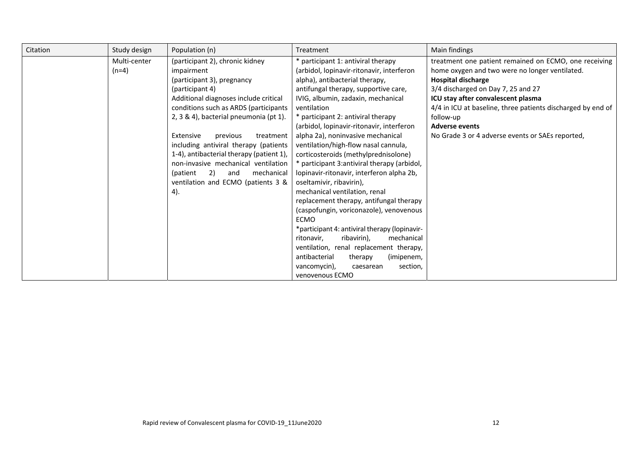| Study design            | Population (n)                                                                                                                                                                                                                                                                                                                                                                                                                                                                   | Treatment                                                                                                                                                                                                                                                                                                                                                                                                                                                                                                                                                                                                                                                                                                                                                                                                                   | Main findings                                                                                                                                                                                                                                                                                                                                                             |
|-------------------------|----------------------------------------------------------------------------------------------------------------------------------------------------------------------------------------------------------------------------------------------------------------------------------------------------------------------------------------------------------------------------------------------------------------------------------------------------------------------------------|-----------------------------------------------------------------------------------------------------------------------------------------------------------------------------------------------------------------------------------------------------------------------------------------------------------------------------------------------------------------------------------------------------------------------------------------------------------------------------------------------------------------------------------------------------------------------------------------------------------------------------------------------------------------------------------------------------------------------------------------------------------------------------------------------------------------------------|---------------------------------------------------------------------------------------------------------------------------------------------------------------------------------------------------------------------------------------------------------------------------------------------------------------------------------------------------------------------------|
| Multi-center<br>$(n=4)$ | (participant 2), chronic kidney<br>impairment<br>(participant 3), pregnancy<br>(participant 4)<br>Additional diagnoses include critical<br>conditions such as ARDS (participants<br>2, 3 & 4), bacterial pneumonia (pt 1).<br>Extensive<br>treatment<br>previous<br>including antiviral therapy (patients<br>1-4), antibacterial therapy (patient 1),<br>non-invasive mechanical ventilation<br>(patient<br>mechanical<br>2)<br>and<br>ventilation and ECMO (patients 3 &<br>4). | * participant 1: antiviral therapy<br>(arbidol, lopinavir-ritonavir, interferon<br>alpha), antibacterial therapy,<br>antifungal therapy, supportive care,<br>IVIG, albumin, zadaxin, mechanical<br>ventilation<br>* participant 2: antiviral therapy<br>(arbidol, lopinavir-ritonavir, interferon<br>alpha 2a), noninvasive mechanical<br>ventilation/high-flow nasal cannula,<br>corticosteroids (methylprednisolone)<br>* participant 3:antiviral therapy (arbidol,<br>lopinavir-ritonavir, interferon alpha 2b,<br>oseltamivir, ribavirin),<br>mechanical ventilation, renal<br>replacement therapy, antifungal therapy<br>(caspofungin, voriconazole), venovenous<br><b>ECMO</b><br>*participant 4: antiviral therapy (lopinavir-<br>ribavirin),<br>mechanical<br>ritonavir,<br>ventilation, renal replacement therapy, | treatment one patient remained on ECMO, one receiving<br>home oxygen and two were no longer ventilated.<br><b>Hospital discharge</b><br>3/4 discharged on Day 7, 25 and 27<br>ICU stay after convalescent plasma<br>4/4 in ICU at baseline, three patients discharged by end of<br>follow-up<br><b>Adverse events</b><br>No Grade 3 or 4 adverse events or SAEs reported, |
|                         |                                                                                                                                                                                                                                                                                                                                                                                                                                                                                  | antibacterial<br>therapy<br>(imipenem,<br>section,<br>vancomycin),<br>caesarean                                                                                                                                                                                                                                                                                                                                                                                                                                                                                                                                                                                                                                                                                                                                             |                                                                                                                                                                                                                                                                                                                                                                           |
|                         |                                                                                                                                                                                                                                                                                                                                                                                                                                                                                  |                                                                                                                                                                                                                                                                                                                                                                                                                                                                                                                                                                                                                                                                                                                                                                                                                             |                                                                                                                                                                                                                                                                                                                                                                           |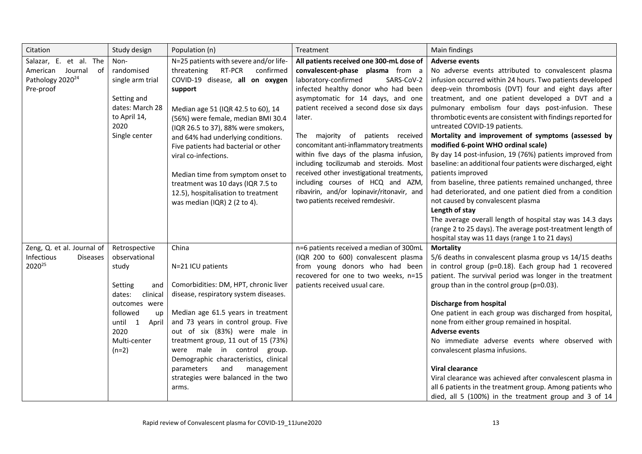| Citation                                                                                   | Study design                                                                                                                                                              | Population (n)                                                                                                                                                                                                                                                                                                                                                                                                                                                                                       | Treatment                                                                                                                                                                                                                                                                                                                                                                                                                                                                                                                                                                                          | Main findings                                                                                                                                                                                                                                                                                                                                                                                                                                                                                                                                                                                                                                                                                                                                                                                                                                                                                                                                                   |
|--------------------------------------------------------------------------------------------|---------------------------------------------------------------------------------------------------------------------------------------------------------------------------|------------------------------------------------------------------------------------------------------------------------------------------------------------------------------------------------------------------------------------------------------------------------------------------------------------------------------------------------------------------------------------------------------------------------------------------------------------------------------------------------------|----------------------------------------------------------------------------------------------------------------------------------------------------------------------------------------------------------------------------------------------------------------------------------------------------------------------------------------------------------------------------------------------------------------------------------------------------------------------------------------------------------------------------------------------------------------------------------------------------|-----------------------------------------------------------------------------------------------------------------------------------------------------------------------------------------------------------------------------------------------------------------------------------------------------------------------------------------------------------------------------------------------------------------------------------------------------------------------------------------------------------------------------------------------------------------------------------------------------------------------------------------------------------------------------------------------------------------------------------------------------------------------------------------------------------------------------------------------------------------------------------------------------------------------------------------------------------------|
| Salazar, E. et al. The<br>American Journal of<br>Pathology 2020 <sup>24</sup><br>Pre-proof | Non-<br>randomised<br>single arm trial<br>Setting and<br>dates: March 28<br>to April 14,<br>2020<br>Single center                                                         | N=25 patients with severe and/or life-<br>RT-PCR<br>confirmed<br>threatening<br>COVID-19 disease, all on oxygen<br>support<br>Median age 51 (IQR 42.5 to 60), 14<br>(56%) were female, median BMI 30.4<br>(IQR 26.5 to 37), 88% were smokers,<br>and 64% had underlying conditions.<br>Five patients had bacterial or other<br>viral co-infections.<br>Median time from symptom onset to<br>treatment was 10 days (IQR 7.5 to<br>12.5), hospitalisation to treatment<br>was median (IQR) 2 (2 to 4). | All patients received one 300-mL dose of<br>convalescent-phase plasma from a<br>laboratory-confirmed<br>SARS-CoV-2<br>infected healthy donor who had been<br>asymptomatic for 14 days, and one<br>patient received a second dose six days<br>later.<br>The majority of patients received<br>concomitant anti-inflammatory treatments<br>within five days of the plasma infusion,<br>including tocilizumab and steroids. Most<br>received other investigational treatments,<br>including courses of HCQ and AZM,<br>ribavirin, and/or lopinavir/ritonavir, and<br>two patients received remdesivir. | <b>Adverse events</b><br>No adverse events attributed to convalescent plasma<br>infusion occurred within 24 hours. Two patients developed<br>deep-vein thrombosis (DVT) four and eight days after<br>treatment, and one patient developed a DVT and a<br>pulmonary embolism four days post-infusion. These<br>thrombotic events are consistent with findings reported for<br>untreated COVID-19 patients.<br>Mortality and improvement of symptoms (assessed by<br>modified 6-point WHO ordinal scale)<br>By day 14 post-infusion, 19 (76%) patients improved from<br>baseline: an additional four patients were discharged, eight<br>patients improved<br>from baseline, three patients remained unchanged, three<br>had deteriorated, and one patient died from a condition<br>not caused by convalescent plasma<br>Length of stay<br>The average overall length of hospital stay was 14.3 days<br>(range 2 to 25 days). The average post-treatment length of |
| Zeng, Q. et al. Journal of<br>Infectious<br><b>Diseases</b><br>2020 <sup>25</sup>          | Retrospective<br>observational<br>study<br>Setting<br>and<br>dates:<br>clinical<br>outcomes were<br>followed<br>up<br>until 1<br>April<br>2020<br>Multi-center<br>$(n=2)$ | China<br>N=21 ICU patients<br>Comorbidities: DM, HPT, chronic liver<br>disease, respiratory system diseases.<br>Median age 61.5 years in treatment<br>and 73 years in control group. Five<br>out of six (83%) were male in<br>treatment group, 11 out of 15 (73%)<br>were male in control group.<br>Demographic characteristics, clinical<br>parameters<br>and<br>management<br>strategies were balanced in the two<br>arms.                                                                         | n=6 patients received a median of 300mL<br>(IQR 200 to 600) convalescent plasma<br>from young donors who had been<br>recovered for one to two weeks, n=15<br>patients received usual care.                                                                                                                                                                                                                                                                                                                                                                                                         | hospital stay was 11 days (range 1 to 21 days)<br><b>Mortality</b><br>5/6 deaths in convalescent plasma group vs 14/15 deaths<br>in control group (p=0.18). Each group had 1 recovered<br>patient. The survival period was longer in the treatment<br>group than in the control group (p=0.03).<br><b>Discharge from hospital</b><br>One patient in each group was discharged from hospital,<br>none from either group remained in hospital.<br><b>Adverse events</b><br>No immediate adverse events where observed with<br>convalescent plasma infusions.<br><b>Viral clearance</b><br>Viral clearance was achieved after convalescent plasma in<br>all 6 patients in the treatment group. Among patients who<br>died, all 5 (100%) in the treatment group and 3 of 14                                                                                                                                                                                         |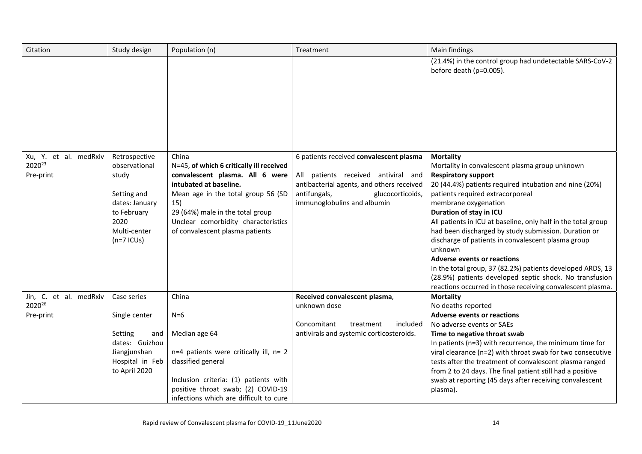| Citation                         | Study design    | Population (n)                                               | Treatment                                                                     | Main findings                                                                              |
|----------------------------------|-----------------|--------------------------------------------------------------|-------------------------------------------------------------------------------|--------------------------------------------------------------------------------------------|
|                                  |                 |                                                              |                                                                               | (21.4%) in the control group had undetectable SARS-CoV-2<br>before death (p=0.005).        |
| Xu, Y. et al. medRxiv            | Retrospective   | China                                                        | 6 patients received convalescent plasma                                       | <b>Mortality</b>                                                                           |
| 202023                           | observational   | N=45, of which 6 critically ill received                     |                                                                               | Mortality in convalescent plasma group unknown                                             |
| Pre-print                        | study           | convalescent plasma. All 6 were                              | All patients received antiviral and                                           | <b>Respiratory support</b>                                                                 |
|                                  | Setting and     | intubated at baseline.<br>Mean age in the total group 56 (SD | antibacterial agents, and others received<br>antifungals,<br>glucocorticoids, | 20 (44.4%) patients required intubation and nine (20%)<br>patients required extracorporeal |
|                                  | dates: January  | 15)                                                          | immunoglobulins and albumin                                                   | membrane oxygenation                                                                       |
|                                  | to February     | 29 (64%) male in the total group                             |                                                                               | Duration of stay in ICU                                                                    |
|                                  | 2020            | Unclear comorbidity characteristics                          |                                                                               | All patients in ICU at baseline, only half in the total group                              |
|                                  | Multi-center    | of convalescent plasma patients                              |                                                                               | had been discharged by study submission. Duration or                                       |
|                                  | $(n=7$ ICUs)    |                                                              |                                                                               | discharge of patients in convalescent plasma group<br>unknown                              |
|                                  |                 |                                                              |                                                                               | <b>Adverse events or reactions</b>                                                         |
|                                  |                 |                                                              |                                                                               | In the total group, 37 (82.2%) patients developed ARDS, 13                                 |
|                                  |                 |                                                              |                                                                               | (28.9%) patients developed septic shock. No transfusion                                    |
|                                  |                 |                                                              |                                                                               | reactions occurred in those receiving convalescent plasma.                                 |
| Jin, C. et al. medRxiv<br>202026 | Case series     | China                                                        | Received convalescent plasma,                                                 | <b>Mortality</b>                                                                           |
| Pre-print                        | Single center   | $N=6$                                                        | unknown dose                                                                  | No deaths reported<br><b>Adverse events or reactions</b>                                   |
|                                  |                 |                                                              | Concomitant<br>treatment<br>included                                          | No adverse events or SAEs                                                                  |
|                                  | Setting<br>and  | Median age 64                                                | antivirals and systemic corticosteroids.                                      | Time to negative throat swab                                                               |
|                                  | dates: Guizhou  |                                                              |                                                                               | In patients (n=3) with recurrence, the minimum time for                                    |
|                                  | Jiangjunshan    | n=4 patients were critically ill, n= 2                       |                                                                               | viral clearance (n=2) with throat swab for two consecutive                                 |
|                                  | Hospital in Feb | classified general                                           |                                                                               | tests after the treatment of convalescent plasma ranged                                    |
|                                  | to April 2020   |                                                              |                                                                               | from 2 to 24 days. The final patient still had a positive                                  |
|                                  |                 | Inclusion criteria: (1) patients with                        |                                                                               | swab at reporting (45 days after receiving convalescent                                    |
|                                  |                 | positive throat swab; (2) COVID-19                           |                                                                               | plasma).                                                                                   |
|                                  |                 | infections which are difficult to cure                       |                                                                               |                                                                                            |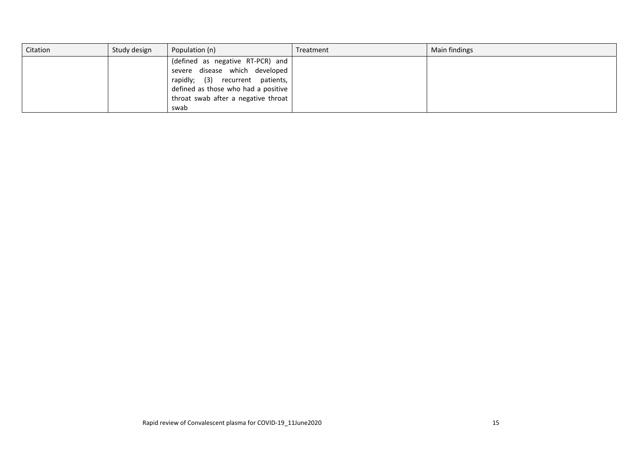| Citation | Study design | Population (n)                      | Treatment | Main findings |
|----------|--------------|-------------------------------------|-----------|---------------|
|          |              | (defined as negative RT-PCR) and    |           |               |
|          |              | severe disease which developed      |           |               |
|          |              | rapidly; (3) recurrent patients,    |           |               |
|          |              | defined as those who had a positive |           |               |
|          |              | throat swab after a negative throat |           |               |
|          |              | swab                                |           |               |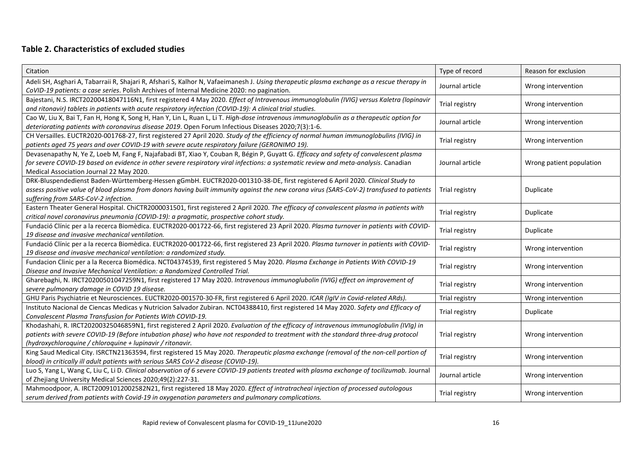## **Table 2. Characteristics of excluded studies**

| Citation                                                                                                                                                                                                                                                                                                                                  | Type of record  | Reason for exclusion     |
|-------------------------------------------------------------------------------------------------------------------------------------------------------------------------------------------------------------------------------------------------------------------------------------------------------------------------------------------|-----------------|--------------------------|
| Adeli SH, Asghari A, Tabarraii R, Shajari R, Afshari S, Kalhor N, Vafaeimanesh J. Using therapeutic plasma exchange as a rescue therapy in<br>CoVID-19 patients: a case series. Polish Archives of Internal Medicine 2020: no pagination.                                                                                                 | Journal article | Wrong intervention       |
| Bajestani, N.S. IRCT20200418047116N1, first registered 4 May 2020. Effect of Intravenous immunoglobulin (IVIG) versus Kaletra (lopinavir<br>and ritonavir) tablets in patients with acute respiratory infection (COVID-19): A clinical trial studies.                                                                                     | Trial registry  | Wrong intervention       |
| Cao W, Liu X, Bai T, Fan H, Hong K, Song H, Han Y, Lin L, Ruan L, Li T. High-dose intravenous immunoglobulin as a therapeutic option for<br>deteriorating patients with coronavirus disease 2019. Open Forum Infectious Diseases 2020;7(3):1-6.                                                                                           | Journal article | Wrong intervention       |
| CH Versailles. EUCTR2020-001768-27, first registered 27 April 2020. Study of the efficiency of normal human immunoglobulins (IVIG) in<br>patients aged 75 years and over COVID-19 with severe acute respiratory failure (GERONIMO 19).                                                                                                    | Trial registry  | Wrong intervention       |
| Devasenapathy N, Ye Z, Loeb M, Fang F, Najafabadi BT, Xiao Y, Couban R, Bégin P, Guyatt G. Efficacy and safety of convalescent plasma<br>for severe COVID-19 based on evidence in other severe respiratory viral infections: a systematic review and meta-analysis. Canadian<br>Medical Association Journal 22 May 2020.                  | Journal article | Wrong patient population |
| DRK-Bluspendedienst Baden-Württemberg-Hessen gGmbH. EUCTR2020-001310-38-DE, first registered 6 April 2020. Clinical Study to<br>assess positive value of blood plasma from donors having built immunity against the new corona virus (SARS-CoV-2) transfused to patients<br>suffering from SARS-CoV-2 infection.                          | Trial registry  | Duplicate                |
| Eastern Theater General Hospital. ChiCTR2000031501, first registered 2 April 2020. The efficacy of convalescent plasma in patients with<br>critical novel coronavirus pneumonia (COVID-19): a pragmatic, prospective cohort study.                                                                                                        | Trial registry  | Duplicate                |
| Fundació Clínic per a la recerca Biomèdica. EUCTR2020-001722-66, first registered 23 April 2020. Plasma turnover in patients with COVID-<br>19 disease and invasive mechanical ventilation.                                                                                                                                               | Trial registry  | Duplicate                |
| Fundació Clínic per a la recerca Biomèdica. EUCTR2020-001722-66, first registered 23 April 2020. Plasma turnover in patients with COVID-<br>19 disease and invasive mechanical ventilation: a randomized study.                                                                                                                           | Trial registry  | Wrong intervention       |
| Fundacion Clinic per a la Recerca Biomédica. NCT04374539, first registered 5 May 2020. Plasma Exchange in Patients With COVID-19<br>Disease and Invasive Mechanical Ventilation: a Randomized Controlled Trial.                                                                                                                           | Trial registry  | Wrong intervention       |
| Gharebaghi, N. IRCT20200501047259N1, first registered 17 May 2020. Intravenous immunoglubolin (IVIG) effect on improvement of<br>severe pulmonary damage in COVID 19 disease.                                                                                                                                                             | Trial registry  | Wrong intervention       |
| GHU Paris Psychiatrie et Neurosciences. EUCTR2020-001570-30-FR, first registered 6 April 2020. ICAR (IgIV in Covid-related ARds).                                                                                                                                                                                                         | Trial registry  | Wrong intervention       |
| Instituto Nacional de Ciencas Medicas y Nutricion Salvador Zubiran. NCT04388410, first registered 14 May 2020. Safety and Efficacy of<br>Convalescent Plasma Transfusion for Patients With COVID-19.                                                                                                                                      | Trial registry  | Duplicate                |
| Khodashahi, R. IRCT20200325046859N1, first registered 2 April 2020. Evaluation of the efficacy of intravenous immunoglobulin (IVIg) in<br>patients with severe COVID-19 (Before intubation phase) who have not responded to treatment with the standard three-drug protocol<br>(hydroxychloroquine / chloroquine + lupinavir / ritonavir. | Trial registry  | Wrong intervention       |
| King Saud Medical City. ISRCTN21363594, first registered 15 May 2020. Therapeutic plasma exchange (removal of the non-cell portion of<br>blood) in critically ill adult patients with serious SARS CoV-2 disease (COVID-19).                                                                                                              | Trial registry  | Wrong intervention       |
| Luo S, Yang L, Wang C, Liu C, Li D. Clinical observation of 6 severe COVID-19 patients treated with plasma exchange of tocilizumab. Journal<br>of Zhejiang University Medical Sciences 2020;49(2):227-31.                                                                                                                                 | Journal article | Wrong intervention       |
| Mahmoodpoor, A. IRCT20091012002582N21, first registered 18 May 2020. Effect of intratracheal injection of processed autologous<br>serum derived from patients with Covid-19 in oxygenation parameters and pulmonary complications.                                                                                                        | Trial registry  | Wrong intervention       |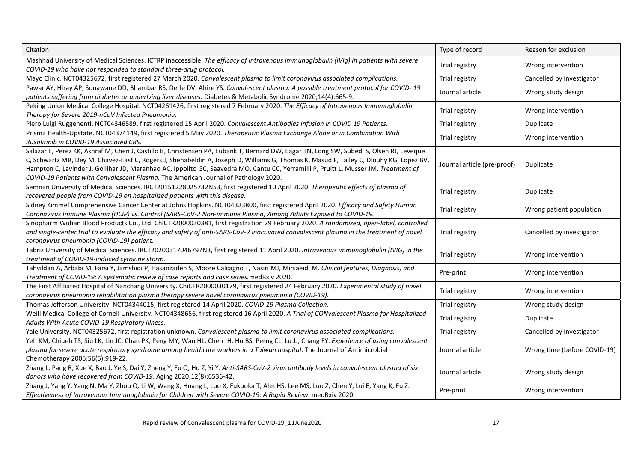| Citation                                                                                                                                                                                                                                                                                                                                                                                                                                                                                                         | Type of record              | Reason for exclusion         |
|------------------------------------------------------------------------------------------------------------------------------------------------------------------------------------------------------------------------------------------------------------------------------------------------------------------------------------------------------------------------------------------------------------------------------------------------------------------------------------------------------------------|-----------------------------|------------------------------|
| Mashhad University of Medical Sciences. ICTRP inaccessible. The efficacy of intravenous immunoglobulin (IVIg) in patients with severe<br>COVID-19 who have not responded to standard three-drug protocol.                                                                                                                                                                                                                                                                                                        | Trial registry              | Wrong intervention           |
| Mayo Clinic. NCT04325672, first registered 27 March 2020. Convalescent plasma to limit coronavirus associated complications.                                                                                                                                                                                                                                                                                                                                                                                     | Trial registry              | Cancelled by investigator    |
| Pawar AY, Hiray AP, Sonawane DD, Bhambar RS, Derle DV, Ahire YS. Convalescent plasma: A possible treatment protocol for COVID-19<br>patients suffering from diabetes or underlying liver diseases. Diabetes & Metabolic Syndrome 2020;14(4):665-9.                                                                                                                                                                                                                                                               | Journal article             | Wrong study design           |
| Peking Union Medical College Hospital. NCT04261426, first registered 7 February 2020. The Efficacy of Intravenous Immunoglobulin<br>Therapy for Severe 2019-nCoV Infected Pneumonia.                                                                                                                                                                                                                                                                                                                             | Trial registry              | Wrong intervention           |
| Piero Luigi Ruggenenti. NCT04346589, first registered 15 April 2020. Convalescent Antibodies Infusion in COVID 19 Patients.                                                                                                                                                                                                                                                                                                                                                                                      | Trial registry              | Duplicate                    |
| Prisma Health-Upstate. NCT04374149, first registered 5 May 2020. Therapeutic Plasma Exchange Alone or in Combination With<br>Ruxolitinib in COVID-19 Associated CRS.                                                                                                                                                                                                                                                                                                                                             | Trial registry              | Wrong intervention           |
| Salazar E, Perez KK, Ashraf M, Chen J, Castillo B, Christensen PA, Eubank T, Bernard DW, Eagar TN, Long SW, Subedi S, Olsen RJ, Leveque<br>C, Schwartz MR, Dey M, Chavez-East C, Rogers J, Shehabeldin A, Joseph D, Williams G, Thomas K, Masud F, Talley C, Dlouhy KG, Lopez BV,<br>Hampton C, Lavinder J, Gollihar JD, Maranhao AC, Ippolito GC, Saavedra MO, Cantu CC, Yerramilli P, Pruitt L, Musser JM. Treatment of<br>COVID-19 Patients with Convalescent Plasma. The American Journal of Pathology 2020. | Journal article (pre-proof) | Duplicate                    |
| Semnan University of Medical Sciences. IRCT20151228025732N53, first registered 10 April 2020. Therapeutic effects of plasma of<br>recovered people from COVID-19 on hospitalized patients with this disease.                                                                                                                                                                                                                                                                                                     | Trial registry              | Duplicate                    |
| Sidney Kimmel Comprehensive Cancer Center at Johns Hopkins. NCT04323800, first registered April 2020. Efficacy and Safety Human<br>Coronavirus Immune Plasma (HCIP) vs. Control (SARS-CoV-2 Non-immune Plasma) Among Adults Exposed to COVID-19.                                                                                                                                                                                                                                                                 | Trial registry              | Wrong patient population     |
| Sinopharm Wuhan Blood Products Co., Ltd. ChiCTR2000030381, first registration 29 February 2020. A randomized, open-label, controlled<br>and single-center trial to evaluate the efficacy and safety of anti-SARS-CoV-2 inactivated convalescent plasma in the treatment of novel<br>coronavirus pneumonia (COVID-19) patient.                                                                                                                                                                                    | Trial registry              | Cancelled by investigator    |
| Tabriz University of Medical Sciences. IRCT20200317046797N3, first registered 11 April 2020. Intravenous immunoglobulin (IVIG) in the<br>treatment of COVID-19-induced cytokine storm.                                                                                                                                                                                                                                                                                                                           | Trial registry              | Wrong intervention           |
| Tahvildari A, Arbabi M, Farsi Y, Jamshidi P, Hasanzadeh S, Moore Calcagno T, Nasiri MJ, Mirsaeidi M. Clinical features, Diagnosis, and<br>Treatment of COVID-19: A systematic review of case reports and case series. medRxiv 2020.                                                                                                                                                                                                                                                                              | Pre-print                   | Wrong intervention           |
| The First Affiliated Hospital of Nanchang University. ChiCTR2000030179, first registered 24 February 2020. Experimental study of novel<br>coronavirus pneumonia rehabilitation plasma therapy severe novel coronavirus pneumonia (COVID-19).                                                                                                                                                                                                                                                                     | Trial registry              | Wrong intervention           |
| Thomas Jefferson University. NCT04344015, first registered 14 April 2020. COVID-19 Plasma Collection.                                                                                                                                                                                                                                                                                                                                                                                                            | Trial registry              | Wrong study design           |
| Weill Medical College of Cornell University. NCT04348656, first registered 16 April 2020. A Trial of CONvalescent Plasma for Hospitalized<br>Adults With Acute COVID-19 Respiratory Illness.                                                                                                                                                                                                                                                                                                                     | Trial registry              | Duplicate                    |
| Yale University. NCT04325672, first registration unknown. Convalescent plasma to limit coronavirus associated complications.                                                                                                                                                                                                                                                                                                                                                                                     | Trial registry              | Cancelled by investigator    |
| Yeh KM, Chiueh TS, Siu LK, Lin JC, Chan PK, Peng MY, Wan HL, Chen JH, Hu BS, Perng CL, Lu JJ, Chang FY. Experience of using convalescent<br>plasma for severe acute respiratory syndrome among healthcare workers in a Taiwan hospital. The Journal of Antimicrobial<br>Chemotherapy 2005;56(5):919-22.                                                                                                                                                                                                          | Journal article             | Wrong time (before COVID-19) |
| Zhang L, Pang R, Xue X, Bao J, Ye S, Dai Y, Zheng Y, Fu Q, Hu Z, Yi Y. Anti-SARS-CoV-2 virus antibody levels in convalescent plasma of six<br>donors who have recovered from COVID-19. Aging 2020;12(8):6536-42.                                                                                                                                                                                                                                                                                                 | Journal article             | Wrong study design           |
| Zhang J, Yang Y, Yang N, Ma Y, Zhou Q, Li W, Wang X, Huang L, Luo X, Fukuoka T, Ahn HS, Lee MS, Luo Z, Chen Y, Lui E, Yang K, Fu Z.<br>Effectiveness of Intravenous Immunoglobulin for Children with Severe COVID-19: A Rapid Review. medRxiv 2020.                                                                                                                                                                                                                                                              | Pre-print                   | Wrong intervention           |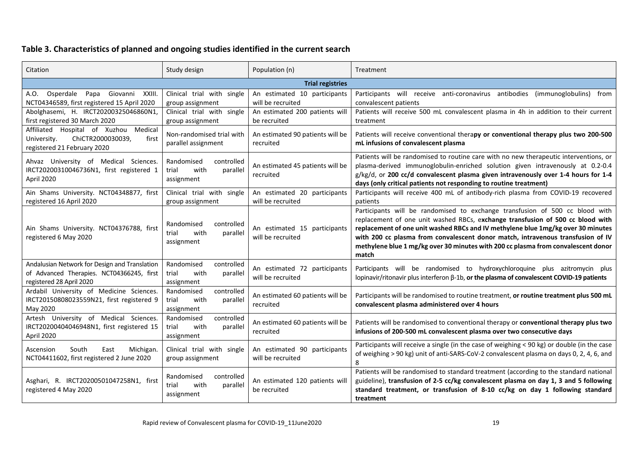## **Table 3. Characteristics of planned and ongoing studies identified in the current search**

| Citation                                                                                                                                                                                  | Study design<br>Population (n)                                      |                                                                                                                                                                                                                                                                            | Treatment                                                                                                                                                                                                                                                                                                                                                                                                                           |  |
|-------------------------------------------------------------------------------------------------------------------------------------------------------------------------------------------|---------------------------------------------------------------------|----------------------------------------------------------------------------------------------------------------------------------------------------------------------------------------------------------------------------------------------------------------------------|-------------------------------------------------------------------------------------------------------------------------------------------------------------------------------------------------------------------------------------------------------------------------------------------------------------------------------------------------------------------------------------------------------------------------------------|--|
|                                                                                                                                                                                           |                                                                     | <b>Trial registries</b>                                                                                                                                                                                                                                                    |                                                                                                                                                                                                                                                                                                                                                                                                                                     |  |
| A.O. Osperdale Papa Giovanni XXIII.<br>NCT04346589, first registered 15 April 2020                                                                                                        | Clinical trial with single<br>group assignment                      | An estimated 10 participants<br>will be recruited                                                                                                                                                                                                                          | Participants will receive anti-coronavirus antibodies (immunoglobulins) from<br>convalescent patients                                                                                                                                                                                                                                                                                                                               |  |
| Abolghasemi, H. IRCT20200325046860N1<br>first registered 30 March 2020                                                                                                                    | Clinical trial with single<br>group assignment                      | An estimated 200 patients will<br>be recruited                                                                                                                                                                                                                             | Patients will receive 500 mL convalescent plasma in 4h in addition to their current<br>treatment                                                                                                                                                                                                                                                                                                                                    |  |
| Medical<br>Affiliated Hospital of Xuzhou<br>ChiCTR2000030039,<br>University.<br>first<br>registered 21 February 2020                                                                      | Non-randomised trial with<br>parallel assignment                    | An estimated 90 patients will be<br>recruited                                                                                                                                                                                                                              | Patients will receive conventional therapy or conventional therapy plus two 200-500<br>mL infusions of convalescent plasma                                                                                                                                                                                                                                                                                                          |  |
| Ahvaz University of Medical Sciences.<br>IRCT20200310046736N1, first registered 1<br>April 2020                                                                                           | controlled<br>Randomised<br>parallel<br>trial<br>with<br>assignment | An estimated 45 patients will be<br>recruited                                                                                                                                                                                                                              | Patients will be randomised to routine care with no new therapeutic interventions, or<br>plasma-derived immunoglobulin-enriched solution given intravenously at 0.2-0.4<br>g/kg/d, or 200 cc/d convalescent plasma given intravenously over 1-4 hours for 1-4<br>days (only critical patients not responding to routine treatment)                                                                                                  |  |
| Ain Shams University. NCT04348877, first<br>registered 16 April 2020                                                                                                                      | Clinical trial with single<br>group assignment                      | An estimated 20 participants<br>will be recruited                                                                                                                                                                                                                          | Participants will receive 400 mL of antibody-rich plasma from COVID-19 recovered<br>patients                                                                                                                                                                                                                                                                                                                                        |  |
| Randomised<br>controlled<br>Ain Shams University. NCT04376788, first<br>trial<br>with<br>parallel<br>registered 6 May 2020<br>assignment                                                  |                                                                     | An estimated 15 participants<br>will be recruited                                                                                                                                                                                                                          | Participants will be randomised to exchange transfusion of 500 cc blood with<br>replacement of one unit washed RBCs, exchange transfusion of 500 cc blood with<br>replacement of one unit washed RBCs and IV methylene blue 1mg/kg over 30 minutes<br>with 200 cc plasma from convalescent donor match, intravenous transfusion of IV<br>methylene blue 1 mg/kg over 30 minutes with 200 cc plasma from convalescent donor<br>match |  |
| Andalusian Network for Design and Translation<br>of Advanced Therapies. NCT04366245, first<br>registered 28 April 2020                                                                    | controlled<br>Randomised<br>with<br>trial<br>parallel<br>assignment | An estimated 72 participants<br>will be recruited                                                                                                                                                                                                                          | Participants will be randomised to hydroxychloroquine plus azitromycin plus<br>lopinavir/ritonavir plus interferon β-1b, or the plasma of convalescent COVID-19 patients                                                                                                                                                                                                                                                            |  |
| Ardabil University of Medicine Sciences.<br>IRCT20150808023559N21, first registered 9<br>May 2020                                                                                         | Randomised<br>controlled<br>trial<br>with<br>parallel<br>assignment | An estimated 60 patients will be<br>recruited                                                                                                                                                                                                                              | Participants will be randomised to routine treatment, or routine treatment plus 500 mL<br>convalescent plasma administered over 4 hours                                                                                                                                                                                                                                                                                             |  |
| Artesh University of Medical Sciences.<br>IRCT20200404046948N1, first registered 15<br>April 2020                                                                                         | controlled<br>Randomised<br>trial<br>with<br>parallel<br>assignment | An estimated 60 patients will be<br>recruited                                                                                                                                                                                                                              | Patients will be randomised to conventional therapy or conventional therapy plus two<br>infusions of 200-500 mL convalescent plasma over two consecutive days                                                                                                                                                                                                                                                                       |  |
| Ascension<br>South<br>Michigan.<br>East<br>NCT04411602, first registered 2 June 2020                                                                                                      | Clinical trial with single<br>group assignment                      | An estimated 90 participants<br>will be recruited                                                                                                                                                                                                                          | Participants will receive a single (in the case of weighing < 90 kg) or double (in the case<br>of weighing > 90 kg) unit of anti-SARS-CoV-2 convalescent plasma on days 0, 2, 4, 6, and<br>8                                                                                                                                                                                                                                        |  |
| Randomised<br>controlled<br>Asghari, R. IRCT20200501047258N1, first<br>An estimated 120 patients will<br>with<br>parallel<br>trial<br>registered 4 May 2020<br>be recruited<br>assignment |                                                                     | Patients will be randomised to standard treatment (according to the standard national<br>guideline), transfusion of 2-5 cc/kg convalescent plasma on day 1, 3 and 5 following<br>standard treatment, or transfusion of 8-10 cc/kg on day 1 following standard<br>treatment |                                                                                                                                                                                                                                                                                                                                                                                                                                     |  |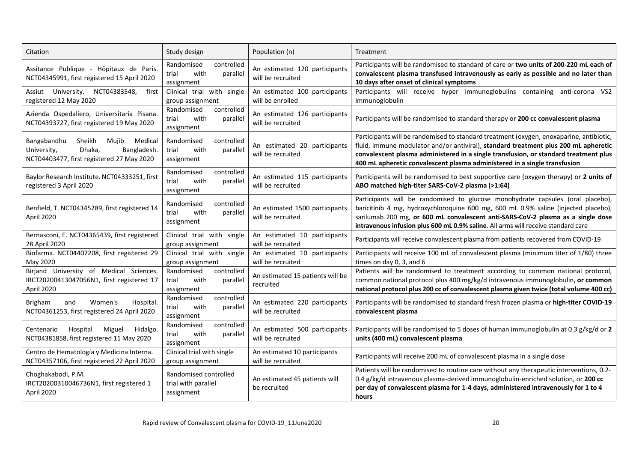| Citation                                                                                                                       | Study design                                                        | Population (n)                                      | Treatment                                                                                                                                                                                                                                                                                                                                           |  |
|--------------------------------------------------------------------------------------------------------------------------------|---------------------------------------------------------------------|-----------------------------------------------------|-----------------------------------------------------------------------------------------------------------------------------------------------------------------------------------------------------------------------------------------------------------------------------------------------------------------------------------------------------|--|
| Assitance Publique - Hôpitaux de Paris.<br>NCT04345991, first registered 15 April 2020                                         | Randomised<br>controlled<br>with<br>trial<br>parallel<br>assignment | An estimated 120 participants<br>will be recruited  | Participants will be randomised to standard of care or two units of 200-220 mL each of<br>convalescent plasma transfused intravenously as early as possible and no later than<br>10 days after onset of clinical symptoms                                                                                                                           |  |
| University. NCT04383548,<br>Assiut<br>first<br>registered 12 May 2020                                                          | Clinical trial with single<br>group assignment                      | An estimated 100 participants<br>will be enrolled   | Participants will receive hyper immunoglobulins containing anti-corona VS2<br>immunoglobulin                                                                                                                                                                                                                                                        |  |
| Azienda Ospedaliero, Universitaria Pisana.<br>NCT04393727, first registered 19 May 2020                                        | controlled<br>Randomised<br>trial<br>with<br>parallel<br>assignment | An estimated 126 participants<br>will be recruited  | Participants will be randomised to standard therapy or 200 cc convalescent plasma                                                                                                                                                                                                                                                                   |  |
| Sheikh<br>Mujib<br>Medical<br>Bangabandhu<br>University,<br>Dhaka,<br>Bangladesh.<br>NCT04403477, first registered 27 May 2020 | Randomised<br>controlled<br>with<br>parallel<br>trial<br>assignment | An estimated 20 participants<br>will be recruited   | Participants will be randomised to standard treatment (oxygen, enoxaparine, antibiotic,<br>fluid, immune modulator and/or antiviral), standard treatment plus 200 mL apheretic<br>convalescent plasma administered in a single transfusion, or standard treatment plus<br>400 mL apheretic convalescent plasma administered in a single transfusion |  |
| Baylor Research Institute. NCT04333251, first<br>registered 3 April 2020                                                       | controlled<br>Randomised<br>trial<br>with<br>parallel<br>assignment | An estimated 115 participants<br>will be recruited  | Participants will be randomised to best supportive care (oxygen therapy) or 2 units of<br>ABO matched high-titer SARS-CoV-2 plasma (>1:64)                                                                                                                                                                                                          |  |
| Benfield, T. NCT04345289, first registered 14<br>April 2020                                                                    | Randomised<br>controlled<br>trial<br>with<br>parallel<br>assignment | An estimated 1500 participants<br>will be recruited | Participants will be randomised to glucose monohydrate capsules (oral placebo),<br>baricitinib 4 mg, hydroxychloroquine 600 mg, 600 mL 0.9% saline (injected placebo),<br>sarilumab 200 mg, or 600 mL convalescent anti-SARS-CoV-2 plasma as a single dose<br>intravenous infusion plus 600 mL 0.9% saline. All arms will receive standard care     |  |
| Bernasconi, E. NCT04365439, first registered<br>28 April 2020                                                                  | Clinical trial with single<br>group assignment                      | An estimated 10 participants<br>will be recruited   | Participants will receive convalescent plasma from patients recovered from COVID-19                                                                                                                                                                                                                                                                 |  |
| Biofarma. NCT04407208, first registered 29<br>May 2020                                                                         | Clinical trial with single<br>group assignment                      | An estimated 10 participants<br>will be recruited   | Participants will receive 100 mL of convalescent plasma (minimum titer of 1/80) three<br>times on day 0, 3, and 6                                                                                                                                                                                                                                   |  |
| Birjand University of Medical Sciences.<br>IRCT20200413047056N1, first registered 17<br>April 2020                             | Randomised<br>controlled<br>with<br>trial<br>parallel<br>assignment | An estimated 15 patients will be<br>recruited       | Patients will be randomised to treatment according to common national protocol,<br>common national protocol plus 400 mg/kg/d intravenous immunoglobulin, or common<br>national protocol plus 200 cc of convalescent plasma given twice (total volume 400 cc)                                                                                        |  |
| <b>Brigham</b><br>Women's<br>and<br>Hospital.<br>NCT04361253, first registered 24 April 2020                                   | Randomised<br>controlled<br>with<br>trial<br>parallel<br>assignment | An estimated 220 participants<br>will be recruited  | Participants will be randomised to standard fresh frozen plasma or high-titer COVID-19<br>convalescent plasma                                                                                                                                                                                                                                       |  |
| Miguel<br>Hospital<br>Hidalgo.<br>Centenario<br>NCT04381858, first registered 11 May 2020                                      | controlled<br>Randomised<br>with<br>parallel<br>trial<br>assignment | An estimated 500 participants<br>will be recruited  | Participants will be randomised to 5 doses of human immunoglobulin at 0.3 g/kg/d or 2<br>units (400 mL) convalescent plasma                                                                                                                                                                                                                         |  |
| Centro de Hematología y Medicina Interna.<br>NCT04357106, first registered 22 April 2020                                       | Clinical trial with single<br>group assignment                      | An estimated 10 participants<br>will be recruited   | Participants will receive 200 mL of convalescent plasma in a single dose                                                                                                                                                                                                                                                                            |  |
| Choghakabodi, P.M.<br>IRCT20200310046736N1, first registered 1<br>April 2020                                                   | Randomised controlled<br>trial with parallel<br>assignment          | An estimated 45 patients will<br>be recruited       | Patients will be randomised to routine care without any therapeutic interventions, 0.2-<br>0.4 g/kg/d intravenous plasma-derived immunoglobulin-enriched solution, or 200 cc<br>per day of convalescent plasma for 1-4 days, administered intravenously for 1 to 4<br>hours                                                                         |  |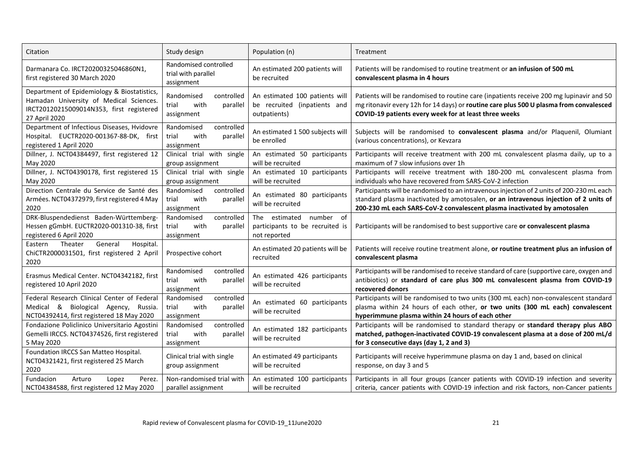| Citation                                                                                                                                            | Study design                                                        | Population (n)                                                                 | Treatment                                                                                                                                                                                                                                                     |  |
|-----------------------------------------------------------------------------------------------------------------------------------------------------|---------------------------------------------------------------------|--------------------------------------------------------------------------------|---------------------------------------------------------------------------------------------------------------------------------------------------------------------------------------------------------------------------------------------------------------|--|
| Darmanara Co. IRCT20200325046860N1,<br>first registered 30 March 2020                                                                               | Randomised controlled<br>trial with parallel<br>assignment          | An estimated 200 patients will<br>be recruited                                 | Patients will be randomised to routine treatment or an infusion of 500 mL<br>convalescent plasma in 4 hours                                                                                                                                                   |  |
| Department of Epidemiology & Biostatistics,<br>Hamadan University of Medical Sciences.<br>IRCT20120215009014N353, first registered<br>27 April 2020 | Randomised<br>controlled<br>trial<br>with<br>parallel<br>assignment | An estimated 100 patients will<br>be recruited (inpatients and<br>outpatients) | Patients will be randomised to routine care (inpatients receive 200 mg lupinavir and 50<br>mg ritonavir every 12h for 14 days) or routine care plus 500 U plasma from convalesced<br>COVID-19 patients every week for at least three weeks                    |  |
| Department of Infectious Diseases, Hvidovre<br>Hospital. EUCTR2020-001367-88-DK, first<br>registered 1 April 2020                                   | Randomised<br>controlled<br>with<br>parallel<br>trial<br>assignment | An estimated 1 500 subjects will<br>be enrolled                                | Subjects will be randomised to convalescent plasma and/or Plaquenil, Olumiant<br>(various concentrations), or Kevzara                                                                                                                                         |  |
| Dillner, J. NCT04384497, first registered 12<br>May 2020                                                                                            | Clinical trial with single<br>group assignment                      | An estimated 50 participants<br>will be recruited                              | Participants will receive treatment with 200 mL convalescent plasma daily, up to a<br>maximum of 7 slow infusions over 1h                                                                                                                                     |  |
| Dillner, J. NCT04390178, first registered 15<br>May 2020                                                                                            | Clinical trial with single<br>group assignment                      | An estimated 10 participants<br>will be recruited                              | Participants will receive treatment with 180-200 mL convalescent plasma from<br>individuals who have recovered from SARS-CoV-2 infection                                                                                                                      |  |
| Direction Centrale du Service de Santé des<br>Armées. NCT04372979, first registered 4 May<br>2020                                                   | Randomised<br>controlled<br>trial<br>with<br>parallel<br>assignment | An estimated 80 participants<br>will be recruited                              | Participants will be randomised to an intravenous injection of 2 units of 200-230 mL each<br>standard plasma inactivated by amotosalen, or an intravenous injection of 2 units of<br>200-230 mL each SARS-CoV-2 convalescent plasma inactivated by amotosalen |  |
| DRK-Bluspendedienst Baden-Württemberg-<br>Hessen gGmbH. EUCTR2020-001310-38, first<br>registered 6 April 2020                                       | Randomised<br>controlled<br>with<br>trial<br>parallel<br>assignment | number of<br>The estimated<br>participants to be recruited is<br>not reported  | Participants will be randomised to best supportive care or convalescent plasma                                                                                                                                                                                |  |
| General<br>Hospital.<br>Theater<br>Eastern<br>ChiCTR2000031501, first registered 2 April<br>2020                                                    | Prospective cohort                                                  | An estimated 20 patients will be<br>recruited                                  | Patients will receive routine treatment alone, or routine treatment plus an infusion of<br>convalescent plasma                                                                                                                                                |  |
| Erasmus Medical Center. NCT04342182, first<br>registered 10 April 2020                                                                              | controlled<br>Randomised<br>trial<br>with<br>parallel<br>assignment | An estimated 426 participants<br>will be recruited                             | Participants will be randomised to receive standard of care (supportive care, oxygen and<br>antibiotics) or standard of care plus 300 mL convalescent plasma from COVID-19<br>recovered donors                                                                |  |
| Federal Research Clinical Center of Federal<br>Medical & Biological Agency,<br>Russia.<br>NCT04392414, first registered 18 May 2020                 | Randomised<br>controlled<br>trial<br>with<br>parallel<br>assignment | An estimated 60 participants<br>will be recruited                              | Participants will be randomised to two units (300 mL each) non-convalescent standard<br>plasma within 24 hours of each other, or two units (300 mL each) convalescent<br>hyperimmune plasma within 24 hours of each other                                     |  |
| Fondazione Policlinico Universitario Agostini<br>Gemelli IRCCS. NCT04374526, first registered<br>5 May 2020                                         | Randomised<br>controlled<br>trial<br>with<br>parallel<br>assignment | An estimated 182 participants<br>will be recruited                             | Participants will be randomised to standard therapy or standard therapy plus ABO<br>matched, pathogen-inactivated COVID-19 convalescent plasma at a dose of 200 mL/d<br>for 3 consecutive days (day 1, 2 and 3)                                               |  |
| Foundation IRCCS San Matteo Hospital.<br>NCT04321421, first registered 25 March<br>2020                                                             | Clinical trial with single<br>group assignment                      | An estimated 49 participants<br>will be recruited                              | Participants will receive hyperimmune plasma on day 1 and, based on clinical<br>response, on day 3 and 5                                                                                                                                                      |  |
| Fundacion<br>Arturo<br>Lopez<br>Perez.<br>NCT04384588, first registered 12 May 2020                                                                 | Non-randomised trial with<br>parallel assignment                    | An estimated 100 participants<br>will be recruited                             | Participants in all four groups (cancer patients with COVID-19 infection and severity<br>criteria, cancer patients with COVID-19 infection and risk factors, non-Cancer patients                                                                              |  |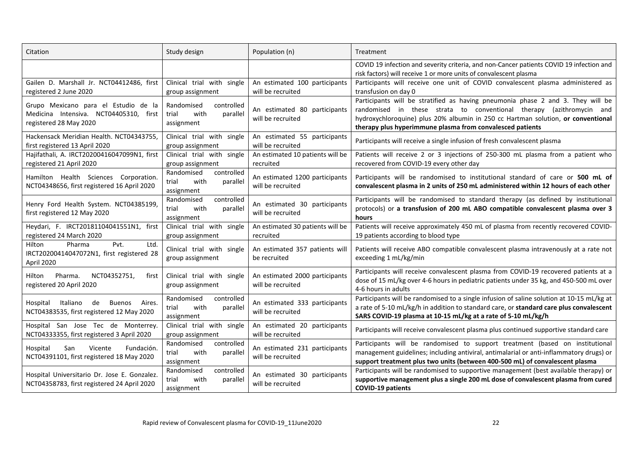| Citation                                                                                                 | Study design                                                                                          | Population (n)                                      | Treatment                                                                                                                                                                                                                                                                                                |  |
|----------------------------------------------------------------------------------------------------------|-------------------------------------------------------------------------------------------------------|-----------------------------------------------------|----------------------------------------------------------------------------------------------------------------------------------------------------------------------------------------------------------------------------------------------------------------------------------------------------------|--|
|                                                                                                          |                                                                                                       |                                                     | COVID 19 infection and severity criteria, and non-Cancer patients COVID 19 infection and<br>risk factors) will receive 1 or more units of convalescent plasma                                                                                                                                            |  |
| Gailen D. Marshall Jr. NCT04412486, first<br>registered 2 June 2020                                      | Clinical trial with single<br>group assignment                                                        | An estimated 100 participants<br>will be recruited  | Participants will receive one unit of COVID convalescent plasma administered as<br>transfusion on day 0                                                                                                                                                                                                  |  |
| Grupo Mexicano para el Estudio de la<br>Medicina Intensiva. NCT04405310, first<br>registered 28 May 2020 | Randomised<br>controlled<br>trial<br>with<br>parallel<br>assignment                                   | An estimated 80 participants<br>will be recruited   | Participants will be stratified as having pneumonia phase 2 and 3. They will be<br>randomised in these strata to conventional therapy (azithromycin and<br>hydroxychloroquine) plus 20% albumin in 250 cc Hartman solution, or conventional<br>therapy plus hyperimmune plasma from convalesced patients |  |
| Hackensack Meridian Health. NCT04343755,<br>first registered 13 April 2020                               | Clinical trial with single<br>group assignment                                                        | An estimated 55 participants<br>will be recruited   | Participants will receive a single infusion of fresh convalescent plasma                                                                                                                                                                                                                                 |  |
| Hajifathali, A. IRCT20200416047099N1, first<br>registered 21 April 2020                                  | Clinical trial with single<br>group assignment                                                        | An estimated 10 patients will be<br>recruited       | Patients will receive 2 or 3 injections of 250-300 mL plasma from a patient who<br>recovered from COVID-19 every other day                                                                                                                                                                               |  |
| Hamilton Health Sciences Corporation.<br>NCT04348656, first registered 16 April 2020                     | controlled<br>Randomised<br>with<br>trial<br>parallel<br>assignment                                   | An estimated 1200 participants<br>will be recruited | Participants will be randomised to institutional standard of care or 500 mL of<br>convalescent plasma in 2 units of 250 mL administered within 12 hours of each other                                                                                                                                    |  |
| Henry Ford Health System. NCT04385199<br>first registered 12 May 2020                                    | controlled<br>Randomised<br>with<br>trial<br>parallel<br>assignment                                   | An estimated 30 participants<br>will be recruited   | Participants will be randomised to standard therapy (as defined by institutional<br>protocols) or a transfusion of 200 mL ABO compatible convalescent plasma over 3<br>hours                                                                                                                             |  |
| Heydari, F. IRCT20181104041551N1, first<br>registered 24 March 2020                                      | Clinical trial with single<br>group assignment                                                        | An estimated 30 patients will be<br>recruited       | Patients will receive approximately 450 mL of plasma from recently recovered COVID-<br>19 patients according to blood type                                                                                                                                                                               |  |
| Pvt.<br>Ltd.<br>Pharma<br>Hilton<br>IRCT20200414047072N1, first registered 28<br>April 2020              | Clinical trial with single<br>group assignment                                                        | An estimated 357 patients will<br>be recruited      | Patients will receive ABO compatible convalescent plasma intravenously at a rate not<br>exceeding 1 mL/kg/min                                                                                                                                                                                            |  |
| NCT04352751,<br>Pharma.<br>first<br>Hilton<br>registered 20 April 2020                                   | Clinical trial with single<br>An estimated 2000 participants<br>will be recruited<br>group assignment |                                                     | Participants will receive convalescent plasma from COVID-19 recovered patients at a<br>dose of 15 mL/kg over 4-6 hours in pediatric patients under 35 kg, and 450-500 mL over<br>4-6 hours in adults                                                                                                     |  |
| Hospital<br>Italiano<br>de<br><b>Buenos</b><br>Aires.<br>NCT04383535, first registered 12 May 2020       | Randomised<br>controlled<br>with<br>trial<br>parallel<br>assignment                                   | An estimated 333 participants<br>will be recruited  | Participants will be randomised to a single infusion of saline solution at 10-15 mL/kg at<br>a rate of 5-10 mL/kg/h in addition to standard care, or standard care plus convalescent<br>SARS COVID-19 plasma at 10-15 mL/kg at a rate of 5-10 mL/kg/h                                                    |  |
| Hospital San Jose Tec de Monterrey.<br>NCT04333355, first registered 3 April 2020                        | Clinical trial with single<br>group assignment                                                        | An estimated 20 participants<br>will be recruited   | Participants will receive convalescent plasma plus continued supportive standard care                                                                                                                                                                                                                    |  |
| Hospital<br>Vicente<br>Fundación.<br>San<br>NCT04391101, first registered 18 May 2020                    | controlled<br>Randomised<br>with<br>parallel<br>trial<br>assignment                                   | An estimated 231 participants<br>will be recruited  | Participants will be randomised to support treatment (based on institutional<br>management guidelines; including antiviral, antimalarial or anti-inflammatory drugs) or<br>support treatment plus two units (between 400-500 mL) of convalescent plasma                                                  |  |
| Hospital Universitario Dr. Jose E. Gonzalez.<br>NCT04358783, first registered 24 April 2020              | Randomised<br>controlled<br>with<br>parallel<br>trial<br>assignment                                   | An estimated 30 participants<br>will be recruited   | Participants will be randomised to supportive management (best available therapy) or<br>supportive management plus a single 200 mL dose of convalescent plasma from cured<br><b>COVID-19 patients</b>                                                                                                    |  |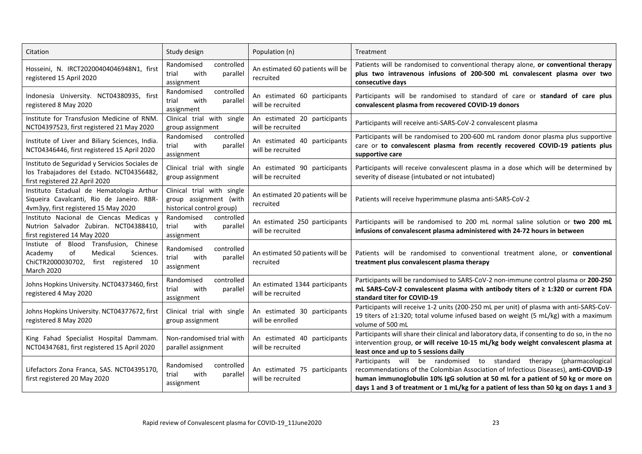| Citation                                                                                                                               | Study design                                                                      | Population (n)                                      | Treatment                                                                                                                                                                                                                                                                                                                                      |  |
|----------------------------------------------------------------------------------------------------------------------------------------|-----------------------------------------------------------------------------------|-----------------------------------------------------|------------------------------------------------------------------------------------------------------------------------------------------------------------------------------------------------------------------------------------------------------------------------------------------------------------------------------------------------|--|
| Hosseini, N. IRCT20200404046948N1, first<br>registered 15 April 2020                                                                   | controlled<br>Randomised<br>trial<br>with<br>parallel<br>assignment               | An estimated 60 patients will be<br>recruited       | Patients will be randomised to conventional therapy alone, or conventional therapy<br>plus two intravenous infusions of 200-500 mL convalescent plasma over two<br>consecutive days                                                                                                                                                            |  |
| Indonesia University. NCT04380935, first<br>registered 8 May 2020                                                                      | Randomised<br>controlled<br>with<br>parallel<br>trial<br>assignment               | An estimated 60 participants<br>will be recruited   | Participants will be randomised to standard of care or standard of care plus<br>convalescent plasma from recovered COVID-19 donors                                                                                                                                                                                                             |  |
| Institute for Transfusion Medicine of RNM.<br>NCT04397523, first registered 21 May 2020                                                | Clinical trial with single<br>group assignment                                    | An estimated 20 participants<br>will be recruited   | Participants will receive anti-SARS-CoV-2 convalescent plasma                                                                                                                                                                                                                                                                                  |  |
| Institute of Liver and Biliary Sciences, India.<br>NCT04346446, first registered 15 April 2020                                         | controlled<br>Randomised<br>with<br>parallel<br>trial<br>assignment               | An estimated 40 participants<br>will be recruited   | Participants will be randomised to 200-600 mL random donor plasma plus supportive<br>care or to convalescent plasma from recently recovered COVID-19 patients plus<br>supportive care                                                                                                                                                          |  |
| Instituto de Seguridad y Servicios Sociales de<br>los Trabajadores del Estado. NCT04356482,<br>first registered 22 April 2020          | Clinical trial with single<br>group assignment                                    | An estimated 90 participants<br>will be recruited   | Participants will receive convalescent plasma in a dose which will be determined by<br>severity of disease (intubated or not intubated)                                                                                                                                                                                                        |  |
| Instituto Estadual de Hematologia Arthur<br>Siqueira Cavalcanti, Rio de Janeiro. RBR-<br>4vm3yy, first registered 15 May 2020          | Clinical trial with single<br>group assignment (with<br>historical control group) | An estimated 20 patients will be<br>recruited       | Patients will receive hyperimmune plasma anti-SARS-CoV-2                                                                                                                                                                                                                                                                                       |  |
| Instituto Nacional de Ciencas Medicas y<br>Nutrion Salvador Zubiran. NCT04388410,<br>first registered 14 May 2020                      | Randomised<br>controlled<br>with<br>parallel<br>trial<br>assignment               | An estimated 250 participants<br>will be recruited  | Participants will be randomised to 200 mL normal saline solution or two 200 mL<br>infusions of convalescent plasma administered with 24-72 hours in between                                                                                                                                                                                    |  |
| Instiute of Blood Transfusion, Chinese<br>of<br>Academy<br>Medical<br>Sciences.<br>ChiCTR2000030702, first registered 10<br>March 2020 | controlled<br>Randomised<br>with<br>parallel<br>trial<br>assignment               | An estimated 50 patients will be<br>recruited       | Patients will be randomised to conventional treatment alone, or conventional<br>treatment plus convalescent plasma therapy                                                                                                                                                                                                                     |  |
| Johns Hopkins University. NCT04373460, first<br>registered 4 May 2020                                                                  | controlled<br>Randomised<br>trial<br>with<br>parallel<br>assignment               | An estimated 1344 participants<br>will be recruited | Participants will be randomised to SARS-CoV-2 non-immune control plasma or 200-250<br>mL SARS-CoV-2 convalescent plasma with antibody titers of ≥ 1:320 or current FDA<br>standard titer for COVID-19                                                                                                                                          |  |
| Johns Hopkins University. NCT04377672, first<br>registered 8 May 2020                                                                  | Clinical trial with single<br>group assignment                                    | An estimated 30 participants<br>will be enrolled    | Participants will receive 1-2 units (200-250 mL per unit) of plasma with anti-SARS-CoV-<br>19 titers of ≥1:320; total volume infused based on weight (5 mL/kg) with a maximum<br>volume of 500 mL                                                                                                                                              |  |
| King Fahad Specialist Hospital Dammam.<br>NCT04347681, first registered 15 April 2020                                                  | Non-randomised trial with<br>parallel assignment                                  | An estimated 40 participants<br>will be recruited   | Participants will share their clinical and laboratory data, if consenting to do so, in the no<br>intervention group, or will receive 10-15 mL/kg body weight convalescent plasma at<br>least once and up to 5 sessions daily                                                                                                                   |  |
| Lifefactors Zona Franca, SAS. NCT04395170,<br>first registered 20 May 2020                                                             | Randomised<br>controlled<br>with<br>parallel<br>trial<br>assignment               | An estimated 75 participants<br>will be recruited   | Participants will be randomised to standard<br>therapy<br>(pharmacological<br>recommendations of the Colombian Association of Infectious Diseases), anti-COVID-19<br>human immunoglobulin 10% IgG solution at 50 mL for a patient of 50 kg or more on<br>days 1 and 3 of treatment or 1 mL/kg for a patient of less than 50 kg on days 1 and 3 |  |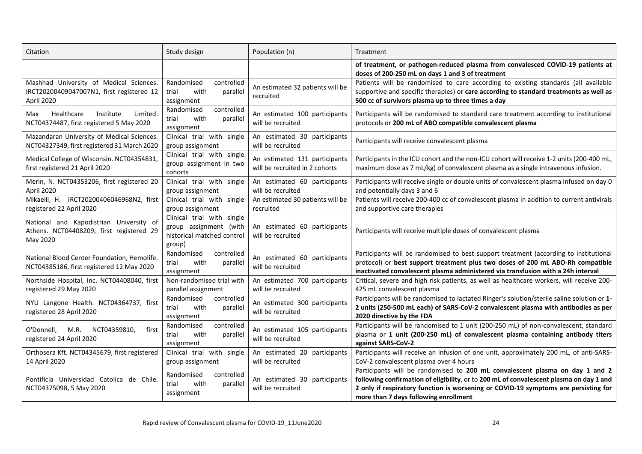| Citation                                                                                           | Study design                                                                                 | Population (n)                                                  | Treatment                                                                                                                                                                                                                                                                                               |  |
|----------------------------------------------------------------------------------------------------|----------------------------------------------------------------------------------------------|-----------------------------------------------------------------|---------------------------------------------------------------------------------------------------------------------------------------------------------------------------------------------------------------------------------------------------------------------------------------------------------|--|
|                                                                                                    |                                                                                              |                                                                 | of treatment, or pathogen-reduced plasma from convalesced COVID-19 patients at<br>doses of 200-250 mL on days 1 and 3 of treatment                                                                                                                                                                      |  |
| Mashhad University of Medical Sciences.<br>IRCT20200409047007N1, first registered 12<br>April 2020 | controlled<br>Randomised<br>with<br>trial<br>parallel<br>assignment                          | An estimated 32 patients will be<br>recruited                   | Patients will be randomised to care according to existing standards (all available<br>supportive and specific therapies) or care according to standard treatments as well as<br>500 cc of survivors plasma up to three times a day                                                                      |  |
| Healthcare<br>Institute<br>Limited.<br>Max<br>NCT04374487, first registered 5 May 2020             | Randomised<br>controlled<br>with<br>parallel<br>trial<br>assignment                          | An estimated 100 participants<br>will be recruited              | Participants will be randomised to standard care treatment according to institutional<br>protocols or 200 mL of ABO compatible convalescent plasma                                                                                                                                                      |  |
| Mazandaran University of Medical Sciences.<br>NCT04327349, first registered 31 March 2020          | Clinical trial with single<br>group assignment                                               | An estimated 30 participants<br>will be recruited               | Participants will receive convalescent plasma                                                                                                                                                                                                                                                           |  |
| Medical College of Wisconsin. NCT04354831,<br>first registered 21 April 2020                       | Clinical trial with single<br>group assignment in two<br>cohorts                             | An estimated 131 participants<br>will be recruited in 2 cohorts | Participants in the ICU cohort and the non-ICU cohort will receive 1-2 units (200-400 mL,<br>maximum dose as 7 mL/kg) of convalescent plasma as a single intravenous infusion.                                                                                                                          |  |
| Merin, N. NCT04353206, first registered 20<br>April 2020                                           | Clinical trial with single<br>group assignment                                               | An estimated 60 participants<br>will be recruited               | Participants will receive single or double units of convalescent plasma infused on day 0<br>and potentially days 3 and 6                                                                                                                                                                                |  |
| Mikaeili, H. IRCT20200406046968N2, first<br>registered 22 April 2020                               | Clinical trial with single<br>group assignment                                               | An estimated 30 patients will be<br>recruited                   | Patients will receive 200-400 cc of convalescent plasma in addition to current antivirals<br>and supportive care therapies                                                                                                                                                                              |  |
| National and Kapodistrian University of<br>Athens. NCT04408209, first registered 29<br>May 2020    | Clinical trial with single<br>group assignment (with<br>historical matched control<br>group) |                                                                 | Participants will receive multiple doses of convalescent plasma                                                                                                                                                                                                                                         |  |
| National Blood Center Foundation, Hemolife.<br>NCT04385186, first registered 12 May 2020           | Randomised<br>controlled<br>with<br>parallel<br>trial<br>assignment                          | An estimated 60 participants<br>will be recruited               | Participants will be randomised to best support treatment (according to institutional<br>protocol) or best support treatment plus two doses of 200 mL ABO-Rh compatible<br>inactivated convalescent plasma administered via transfusion with a 24h interval                                             |  |
| Northside Hospital, Inc. NCT04408040, first<br>registered 29 May 2020                              | Non-randomised trial with<br>parallel assignment                                             | An estimated 700 participants<br>will be recruited              | Critical, severe and high risk patients, as well as healthcare workers, will receive 200-<br>425 mL convalescent plasma                                                                                                                                                                                 |  |
| NYU Langone Health. NCT04364737, first<br>registered 28 April 2020                                 | Randomised<br>controlled<br>with<br>trial<br>parallel<br>assignment                          | An estimated 300 participants<br>will be recruited              | Participants will be randomised to lactated Ringer's solution/sterile saline solution or 1-<br>2 units (250-500 mL each) of SARS-CoV-2 convalescent plasma with antibodies as per<br>2020 directive by the FDA                                                                                          |  |
| M.R.<br>NCT04359810,<br>O'Donnell,<br>first<br>registered 24 April 2020                            | controlled<br>Randomised<br>with<br>trial<br>parallel<br>assignment                          | An estimated 105 participants<br>will be recruited              | Participants will be randomised to 1 unit (200-250 mL) of non-convalescent, standard<br>plasma or 1 unit (200-250 mL) of convalescent plasma containing antibody titers<br>against SARS-CoV-2                                                                                                           |  |
| Orthosera Kft. NCT04345679, first registered<br>14 April 2020                                      | Clinical trial with single<br>group assignment                                               | An estimated 20 participants<br>will be recruited               | Participants will receive an infusion of one unit, approximately 200 mL, of anti-SARS-<br>CoV-2 convalescent plasma over 4 hours                                                                                                                                                                        |  |
| Pontificia Universidad Catolica de Chile.<br>NCT04375098, 5 May 2020                               | Randomised<br>controlled<br>with<br>trial<br>parallel<br>assignment                          | An estimated 30 participants<br>will be recruited               | Participants will be randomised to 200 mL convalescent plasma on day 1 and 2<br>following confirmation of eligibility, or to 200 mL of convalescent plasma on day 1 and<br>2 only if respiratory function is worsening or COVID-19 symptoms are persisting for<br>more than 7 days following enrollment |  |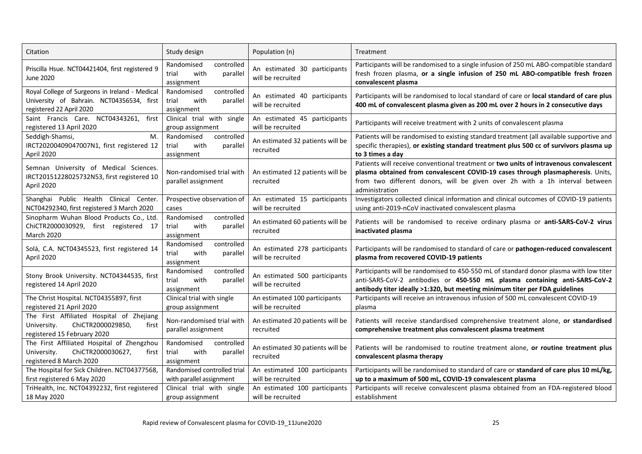| Citation                                                                                                                | Study design                                                        | Population (n)                                     | Treatment                                                                                                                                                                                                                                                                 |  |
|-------------------------------------------------------------------------------------------------------------------------|---------------------------------------------------------------------|----------------------------------------------------|---------------------------------------------------------------------------------------------------------------------------------------------------------------------------------------------------------------------------------------------------------------------------|--|
| Priscilla Hsue. NCT04421404, first registered 9<br>June 2020                                                            | Randomised<br>controlled<br>trial<br>with<br>parallel<br>assignment | An estimated 30 participants<br>will be recruited  | Participants will be randomised to a single infusion of 250 mL ABO-compatible standard<br>fresh frozen plasma, or a single infusion of 250 mL ABO-compatible fresh frozen<br>convalescent plasma                                                                          |  |
| Royal College of Surgeons in Ireland - Medical<br>University of Bahrain. NCT04356534, first<br>registered 22 April 2020 | controlled<br>Randomised<br>trial<br>with<br>parallel<br>assignment | An estimated 40 participants<br>will be recruited  | Participants will be randomised to local standard of care or local standard of care plus<br>400 mL of convalescent plasma given as 200 mL over 2 hours in 2 consecutive days                                                                                              |  |
| Saint Francis Care. NCT04343261,<br>first<br>registered 13 April 2020                                                   | Clinical trial with single<br>group assignment                      | An estimated 45 participants<br>will be recruited  | Participants will receive treatment with 2 units of convalescent plasma                                                                                                                                                                                                   |  |
| Seddigh-Shamsi,<br>M.<br>IRCT20200409047007N1, first registered 12<br>April 2020                                        | controlled<br>Randomised<br>with<br>parallel<br>trial<br>assignment | An estimated 32 patients will be<br>recruited      | Patients will be randomised to existing standard treatment (all available supportive and<br>specific therapies), or existing standard treatment plus 500 cc of survivors plasma up<br>to 3 times a day                                                                    |  |
| Semnan University of Medical Sciences.<br>IRCT20151228025732N53, first registered 10<br>April 2020                      | Non-randomised trial with<br>parallel assignment                    | An estimated 12 patients will be<br>recruited      | Patients will receive conventional treatment or two units of intravenous convalescent<br>plasma obtained from convalescent COVID-19 cases through plasmapheresis. Units,<br>from two different donors, will be given over 2h with a 1h interval between<br>administration |  |
| Shanghai Public Health Clinical Center.<br>NCT04292340, first registered 3 March 2020                                   | Prospective observation of<br>cases                                 | An estimated 15 participants<br>will be recruited  | Investigators collected clinical information and clinical outcomes of COVID-19 patients<br>using anti-2019-nCoV inactivated convalescent plasma                                                                                                                           |  |
| Sinopharm Wuhan Blood Products Co., Ltd.<br>ChiCTR2000030929, first registered 17<br><b>March 2020</b>                  | controlled<br>Randomised<br>with<br>parallel<br>trial<br>assignment | An estimated 60 patients will be<br>recruited      | Patients will be randomised to receive ordinary plasma or anti-SARS-CoV-2 virus<br>inactivated plasma                                                                                                                                                                     |  |
| Solá, C.A. NCT04345523, first registered 14<br>April 2020                                                               | controlled<br>Randomised<br>with<br>parallel<br>trial<br>assignment | An estimated 278 participants<br>will be recruited | Participants will be randomised to standard of care or pathogen-reduced convalescent<br>plasma from recovered COVID-19 patients                                                                                                                                           |  |
| Stony Brook University. NCT04344535, first<br>registered 14 April 2020                                                  | Randomised<br>controlled<br>trial<br>with<br>parallel<br>assignment | An estimated 500 participants<br>will be recruited | Participants will be randomised to 450-550 mL of standard donor plasma with low titer<br>anti-SARS-CoV-2 antibodies or 450-550 mL plasma containing anti-SARS-CoV-2<br>antibody titer ideally >1:320, but meeting minimum titer per FDA guidelines                        |  |
| The Christ Hospital. NCT04355897, first<br>registered 21 April 2020                                                     | Clinical trial with single<br>group assignment                      | An estimated 100 participants<br>will be recruited | Participants will receive an intravenous infusion of 500 mL convalescent COVID-19<br>plasma                                                                                                                                                                               |  |
| The First Affiliated Hospital of Zhejiang<br>ChiCTR2000029850,<br>University.<br>first<br>registered 15 February 2020   | Non-randomised trial with<br>parallel assignment                    | An estimated 20 patients will be<br>recruited      | Patients will receive standardised comprehensive treatment alone, or standardised<br>comprehensive treatment plus convalescent plasma treatment                                                                                                                           |  |
| The First Affiliated Hospital of Zhengzhou<br>ChiCTR2000030627,<br>University.<br>first<br>registered 8 March 2020      | Randomised<br>controlled<br>trial<br>with<br>parallel<br>assignment | An estimated 30 patients will be<br>recruited      | Patients will be randomised to routine treatment alone, or routine treatment plus<br>convalescent plasma therapy                                                                                                                                                          |  |
| The Hospital for Sick Children. NCT04377568,<br>first registered 6 May 2020                                             | Randomised controlled trial<br>with parallel assignment             | An estimated 100 participants<br>will be recruited | Participants will be randomised to standard of care or standard of care plus 10 mL/kg,<br>up to a maximum of 500 mL, COVID-19 convalescent plasma                                                                                                                         |  |
| TriHealth, Inc. NCT04392232, first registered<br>18 May 2020                                                            | Clinical trial with single<br>group assignment                      | An estimated 100 participants<br>will be recruited | Participants will receive convalescent plasma obtained from an FDA-registered blood<br>establishment                                                                                                                                                                      |  |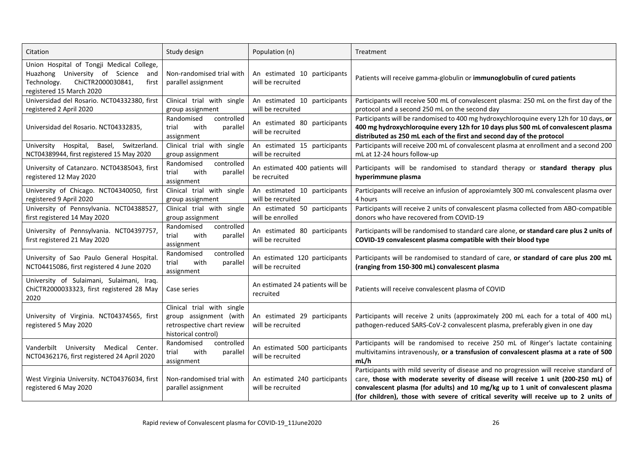| Citation                                                                                                                                                    | Study design                                                                                              | Population (n)                                     | Treatment                                                                                                                                                                                                                                                                                                                                                |  |
|-------------------------------------------------------------------------------------------------------------------------------------------------------------|-----------------------------------------------------------------------------------------------------------|----------------------------------------------------|----------------------------------------------------------------------------------------------------------------------------------------------------------------------------------------------------------------------------------------------------------------------------------------------------------------------------------------------------------|--|
| Union Hospital of Tongji Medical College,<br>Huazhong University of Science<br>and<br>ChiCTR2000030841,<br>Technology.<br>first<br>registered 15 March 2020 | Non-randomised trial with<br>parallel assignment                                                          | An estimated 10 participants<br>will be recruited  | Patients will receive gamma-globulin or immunoglobulin of cured patients                                                                                                                                                                                                                                                                                 |  |
| Universidad del Rosario. NCT04332380, first<br>registered 2 April 2020                                                                                      | Clinical trial with single<br>group assignment                                                            | An estimated 10 participants<br>will be recruited  | Participants will receive 500 mL of convalescent plasma: 250 mL on the first day of the<br>protocol and a second 250 mL on the second day                                                                                                                                                                                                                |  |
| Universidad del Rosario. NCT04332835,                                                                                                                       | Randomised<br>controlled<br>with<br>trial<br>parallel<br>assignment                                       | An estimated 80 participants<br>will be recruited  | Participants will be randomised to 400 mg hydroxychloroquine every 12h for 10 days, or<br>400 mg hydroxychloroquine every 12h for 10 days plus 500 mL of convalescent plasma<br>distributed as 250 mL each of the first and second day of the protocol                                                                                                   |  |
| University Hospital,<br>Basel, Switzerland.<br>NCT04389944, first registered 15 May 2020                                                                    | Clinical trial with single<br>group assignment                                                            | An estimated 15 participants<br>will be recruited  | Participants will receive 200 mL of convalescent plasma at enrollment and a second 200<br>mL at 12-24 hours follow-up                                                                                                                                                                                                                                    |  |
| University of Catanzaro. NCT04385043, first<br>registered 12 May 2020                                                                                       | controlled<br>Randomised<br>with<br>trial<br>parallel<br>assignment                                       | An estimated 400 patients will<br>be recruited     | Participants will be randomised to standard therapy or standard therapy plus<br>hyperimmune plasma                                                                                                                                                                                                                                                       |  |
| University of Chicago. NCT04340050, first<br>registered 9 April 2020                                                                                        | Clinical trial with single<br>group assignment                                                            | An estimated 10 participants<br>will be recruited  | Participants will receive an infusion of approxiamtely 300 mL convalescent plasma over<br>4 hours                                                                                                                                                                                                                                                        |  |
| University of Pennsylvania. NCT04388527,<br>first registered 14 May 2020                                                                                    | Clinical trial with single<br>group assignment                                                            | An estimated 50 participants<br>will be enrolled   | Participants will receive 2 units of convalescent plasma collected from ABO-compatible<br>donors who have recovered from COVID-19                                                                                                                                                                                                                        |  |
| University of Pennsylvania. NCT04397757,<br>first registered 21 May 2020                                                                                    | controlled<br>Randomised<br>trial<br>with<br>parallel<br>assignment                                       | An estimated 80 participants<br>will be recruited  | Participants will be randomised to standard care alone, or standard care plus 2 units of<br>COVID-19 convalescent plasma compatible with their blood type                                                                                                                                                                                                |  |
| University of Sao Paulo General Hospital<br>NCT04415086, first registered 4 June 2020                                                                       | controlled<br>Randomised<br>with<br>parallel<br>trial<br>assignment                                       | An estimated 120 participants<br>will be recruited | Participants will be randomised to standard of care, or standard of care plus 200 mL<br>(ranging from 150-300 mL) convalescent plasma                                                                                                                                                                                                                    |  |
| University of Sulaimani, Sulaimani, Iraq.<br>ChiCTR2000033323, first registered 28 May<br>2020                                                              | Case series                                                                                               | An estimated 24 patients will be<br>recruited      | Patients will receive convalescent plasma of COVID                                                                                                                                                                                                                                                                                                       |  |
| University of Virginia. NCT04374565, first<br>registered 5 May 2020                                                                                         | Clinical trial with single<br>group assignment (with<br>retrospective chart review<br>historical control) | An estimated 29 participants<br>will be recruited  | Participants will receive 2 units (approximately 200 mL each for a total of 400 mL)<br>pathogen-reduced SARS-CoV-2 convalescent plasma, preferably given in one day                                                                                                                                                                                      |  |
| Vanderbilt University Medical<br>Center.<br>NCT04362176, first registered 24 April 2020                                                                     | Randomised<br>controlled<br>with<br>trial<br>parallel<br>assignment                                       | An estimated 500 participants<br>will be recruited | Participants will be randomised to receive 250 mL of Ringer's lactate containing<br>multivitamins intravenously, or a transfusion of convalescent plasma at a rate of 500<br>mL/h                                                                                                                                                                        |  |
| West Virginia University. NCT04376034, first<br>registered 6 May 2020                                                                                       | Non-randomised trial with<br>parallel assignment                                                          | An estimated 240 participants<br>will be recruited | Participants with mild severity of disease and no progression will receive standard of<br>care, those with moderate severity of disease will receive 1 unit (200-250 mL) of<br>convalescent plasma (for adults) and 10 mg/kg up to 1 unit of convalescent plasma<br>(for children), those with severe of critical severity will receive up to 2 units of |  |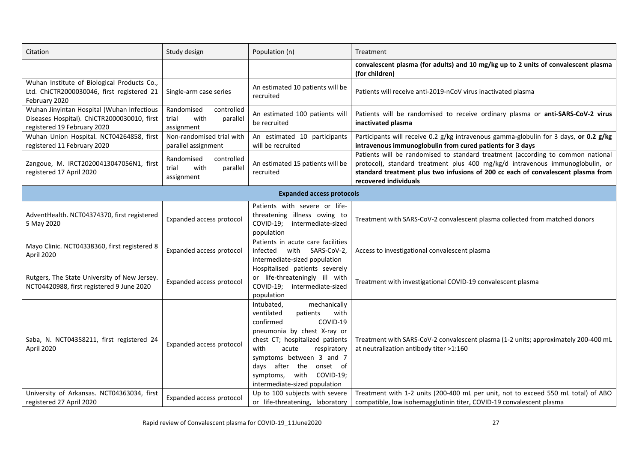| Citation                                                                                                                 | Study design                                                        | Population (n)                                                                                                                                                                                                                                                                                                 | Treatment                                                                                                                                                                                                                                                                     |  |
|--------------------------------------------------------------------------------------------------------------------------|---------------------------------------------------------------------|----------------------------------------------------------------------------------------------------------------------------------------------------------------------------------------------------------------------------------------------------------------------------------------------------------------|-------------------------------------------------------------------------------------------------------------------------------------------------------------------------------------------------------------------------------------------------------------------------------|--|
|                                                                                                                          |                                                                     |                                                                                                                                                                                                                                                                                                                | convalescent plasma (for adults) and 10 mg/kg up to 2 units of convalescent plasma<br>(for children)                                                                                                                                                                          |  |
| Wuhan Institute of Biological Products Co.,<br>Ltd. ChiCTR2000030046, first registered 21<br>February 2020               | Single-arm case series                                              | An estimated 10 patients will be<br>recruited                                                                                                                                                                                                                                                                  | Patients will receive anti-2019-nCoV virus inactivated plasma                                                                                                                                                                                                                 |  |
| Wuhan Jinyintan Hospital (Wuhan Infectious<br>Diseases Hospital). ChiCTR2000030010, first<br>registered 19 February 2020 | controlled<br>Randomised<br>with<br>trial<br>parallel<br>assignment | An estimated 100 patients will<br>be recruited                                                                                                                                                                                                                                                                 | Patients will be randomised to receive ordinary plasma or anti-SARS-CoV-2 virus<br>inactivated plasma                                                                                                                                                                         |  |
| Wuhan Union Hospital. NCT04264858, first<br>registered 11 February 2020                                                  | Non-randomised trial with<br>parallel assignment                    | An estimated 10 participants<br>will be recruited                                                                                                                                                                                                                                                              | Participants will receive 0.2 g/kg intravenous gamma-globulin for 3 days, or 0.2 g/kg<br>intravenous immunoglobulin from cured patients for 3 days                                                                                                                            |  |
| Zangoue, M. IRCT20200413047056N1, first<br>registered 17 April 2020                                                      | controlled<br>Randomised<br>with<br>trial<br>parallel<br>assignment | An estimated 15 patients will be<br>recruited                                                                                                                                                                                                                                                                  | Patients will be randomised to standard treatment (according to common national<br>protocol), standard treatment plus 400 mg/kg/d intravenous immunoglobulin, or<br>standard treatment plus two infusions of 200 cc each of convalescent plasma from<br>recovered individuals |  |
|                                                                                                                          |                                                                     | <b>Expanded access protocols</b>                                                                                                                                                                                                                                                                               |                                                                                                                                                                                                                                                                               |  |
| AdventHealth. NCT04374370, first registered<br>5 May 2020                                                                | Expanded access protocol                                            | Patients with severe or life-<br>threatening illness owing to<br>intermediate-sized<br>COVID-19;<br>population                                                                                                                                                                                                 | Treatment with SARS-CoV-2 convalescent plasma collected from matched donors                                                                                                                                                                                                   |  |
| Mayo Clinic. NCT04338360, first registered 8<br>April 2020                                                               | Expanded access protocol                                            | Patients in acute care facilities<br>infected<br>with SARS-CoV-2,<br>intermediate-sized population                                                                                                                                                                                                             | Access to investigational convalescent plasma                                                                                                                                                                                                                                 |  |
| Rutgers, The State University of New Jersey.<br>NCT04420988, first registered 9 June 2020                                | Expanded access protocol                                            | Hospitalised patients severely<br>or life-threateningly ill with<br>COVID-19;<br>intermediate-sized<br>population                                                                                                                                                                                              | Treatment with investigational COVID-19 convalescent plasma                                                                                                                                                                                                                   |  |
| Saba, N. NCT04358211, first registered 24<br>April 2020                                                                  | Expanded access protocol                                            | Intubated,<br>mechanically<br>ventilated<br>patients<br>with<br>confirmed<br>COVID-19<br>pneumonia by chest X-ray or<br>chest CT; hospitalized patients<br>with<br>acute<br>respiratory<br>symptoms between 3 and 7<br>days after the onset of<br>symptoms,<br>with COVID-19;<br>intermediate-sized population | Treatment with SARS-CoV-2 convalescent plasma (1-2 units; approximately 200-400 mL<br>at neutralization antibody titer >1:160                                                                                                                                                 |  |
| University of Arkansas. NCT04363034, first<br>registered 27 April 2020                                                   | Expanded access protocol                                            | Up to 100 subjects with severe<br>or life-threatening, laboratory                                                                                                                                                                                                                                              | Treatment with 1-2 units (200-400 mL per unit, not to exceed 550 mL total) of ABO<br>compatible, low isohemagglutinin titer, COVID-19 convalescent plasma                                                                                                                     |  |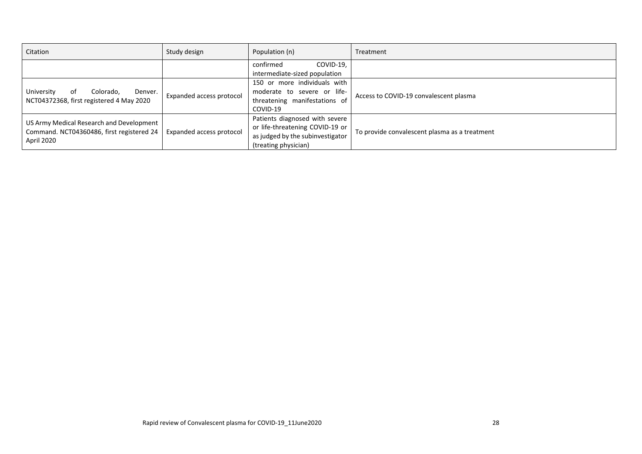| Citation                                                                                              | Study design             | Population (n)                                                                                                                            | Treatment                                     |
|-------------------------------------------------------------------------------------------------------|--------------------------|-------------------------------------------------------------------------------------------------------------------------------------------|-----------------------------------------------|
|                                                                                                       |                          | COVID-19,<br>confirmed                                                                                                                    |                                               |
| University<br>Colorado,<br>Denver.<br>оf<br>NCT04372368, first registered 4 May 2020                  | Expanded access protocol | intermediate-sized population<br>150 or more individuals with<br>moderate to severe or life-<br>threatening manifestations of<br>COVID-19 | Access to COVID-19 convalescent plasma        |
| US Army Medical Research and Development  <br>Command. NCT04360486, first registered 24<br>April 2020 | Expanded access protocol | Patients diagnosed with severe<br>or life-threatening COVID-19 or<br>as judged by the subinvestigator<br>(treating physician)             | To provide convalescent plasma as a treatment |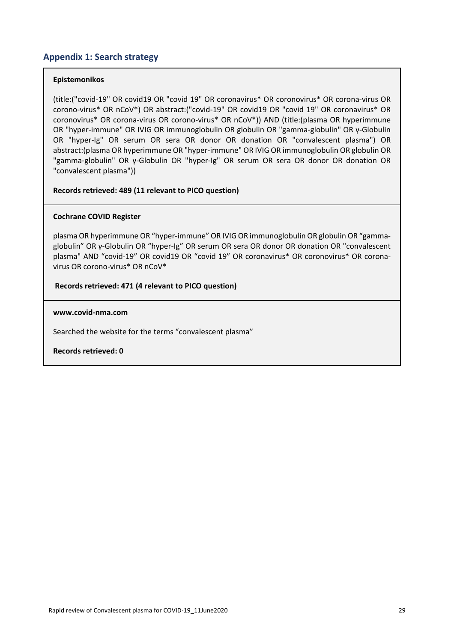## **Appendix 1: Search strategy**

#### **Epistemonikos**

(title:("covid‐19" OR covid19 OR "covid 19" OR coronavirus\* OR coronovirus\* OR corona‐virus OR corono‐virus\* OR nCoV\*) OR abstract:("covid‐19" OR covid19 OR "covid 19" OR coronavirus\* OR coronovirus\* OR corona‐virus OR corono‐virus\* OR nCoV\*)) AND (title:(plasma OR hyperimmune OR "hyper‐immune" OR IVIG OR immunoglobulin OR globulin OR "gamma‐globulin" OR γ‐Globulin OR "hyper-Ig" OR serum OR sera OR donor OR donation OR "convalescent plasma") OR abstract:(plasma OR hyperimmune OR "hyper‐immune" OR IVIG OR immunoglobulin OR globulin OR "gamma‐globulin" OR γ‐Globulin OR "hyper‐Ig" OR serum OR sera OR donor OR donation OR "convalescent plasma"))

#### **Records retrieved: 489 (11 relevant to PICO question)**

#### **Cochrane COVID Register**

plasma OR hyperimmune OR "hyper‐immune" OR IVIG OR immunoglobulin OR globulin OR "gamma‐ globulin" OR γ‐Globulin OR "hyper‐Ig" OR serum OR sera OR donor OR donation OR "convalescent plasma" AND "covid‐19" OR covid19 OR "covid 19" OR coronavirus\* OR coronovirus\* OR corona‐ virus OR corono‐virus\* OR nCoV\*

#### **Records retrieved: 471 (4 relevant to PICO question)**

#### **www.covid‐nma.com**

Searched the website for the terms "convalescent plasma"

**Records retrieved: 0**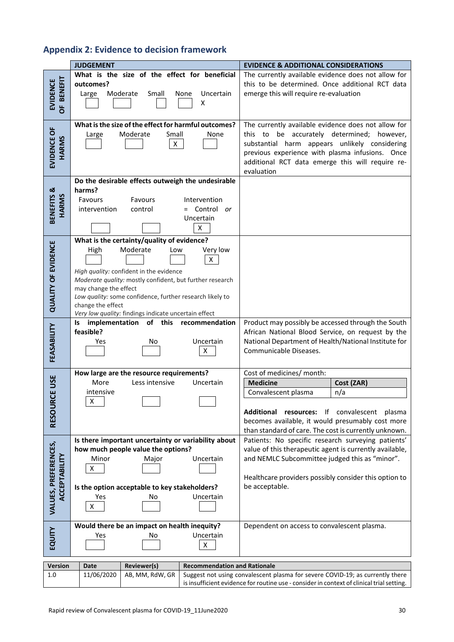## **Appendix 2: Evidence to decision framework**

|                                        | <b>JUDGEMENT</b>                                                                                                                                                                                                                                                                                                                                                | <b>EVIDENCE &amp; ADDITIONAL CONSIDERATIONS</b>                                                                                                                                                                                                                            |
|----------------------------------------|-----------------------------------------------------------------------------------------------------------------------------------------------------------------------------------------------------------------------------------------------------------------------------------------------------------------------------------------------------------------|----------------------------------------------------------------------------------------------------------------------------------------------------------------------------------------------------------------------------------------------------------------------------|
| <b>BENEFIT</b><br><b>EVIDENCE</b><br>ŏ | What is the size of the effect for beneficial<br>outcomes?<br>Moderate<br>Small<br>Uncertain<br>Large<br>None<br>X                                                                                                                                                                                                                                              | The currently available evidence does not allow for<br>this to be determined. Once additional RCT data<br>emerge this will require re-evaluation                                                                                                                           |
| EVIDENCE OF<br>HARMS                   | What is the size of the effect for harmful outcomes?<br>Moderate<br>Small<br>None<br>Large<br>X                                                                                                                                                                                                                                                                 | The currently available evidence does not allow for<br>this to be accurately determined;<br>however,<br>substantial harm appears unlikely considering<br>previous experience with plasma infusions. Once<br>additional RCT data emerge this will require re-<br>evaluation |
| BENEFITS &<br><b>HARMS</b>             | Do the desirable effects outweigh the undesirable<br>harms?<br>Favours<br>Favours<br>Intervention<br>= Control or<br>intervention<br>control<br>Uncertain<br>X                                                                                                                                                                                                  |                                                                                                                                                                                                                                                                            |
| <b>QUALITY OF EVIDENCE</b>             | What is the certainty/quality of evidence?<br>Moderate<br>Very low<br>High<br>Low<br>X<br>High quality: confident in the evidence<br>Moderate quality: mostly confident, but further research<br>may change the effect<br>Low quality: some confidence, further research likely to<br>change the effect<br>Very low quality: findings indicate uncertain effect |                                                                                                                                                                                                                                                                            |
| FEASABILITY                            | of this<br>Is implementation<br>recommendation<br>feasible?<br>Uncertain<br>Yes<br>No<br>Χ                                                                                                                                                                                                                                                                      | Product may possibly be accessed through the South<br>African National Blood Service, on request by the<br>National Department of Health/National Institute for<br>Communicable Diseases.                                                                                  |
| RCE USE<br><b>RESOUI</b>               | How large are the resource requirements?<br>More<br>Less intensive<br>Uncertain<br>intensive<br>$\pmb{\mathsf{X}}$                                                                                                                                                                                                                                              | Cost of medicines/ month:<br><b>Medicine</b><br>Cost (ZAR)<br>n/a<br>Convalescent plasma<br>Additional resources: If convalescent plasma<br>becomes available, it would presumably cost more<br>than standard of care. The cost is currently unknown.                      |
| VALUES, PREFERENCES,<br>ACCEPTABILITY  | Is there important uncertainty or variability about<br>how much people value the options?<br>Minor<br>Uncertain<br>Major<br>X<br>Is the option acceptable to key stakeholders?<br>Uncertain<br>Yes<br>No<br>$\pmb{\mathsf{X}}$                                                                                                                                  | Patients: No specific research surveying patients'<br>value of this therapeutic agent is currently available,<br>and NEMLC Subcommittee judged this as "minor".<br>Healthcare providers possibly consider this option to<br>be acceptable.                                 |
| EQUITY                                 | Would there be an impact on health inequity?<br>Uncertain<br>Yes<br>Νo<br>Χ                                                                                                                                                                                                                                                                                     | Dependent on access to convalescent plasma.                                                                                                                                                                                                                                |
| <b>Version</b>                         | <b>Recommendation and Rationale</b><br>Reviewer(s)<br>Date                                                                                                                                                                                                                                                                                                      |                                                                                                                                                                                                                                                                            |
| 1.0                                    | 11/06/2020<br>AB, MM, RdW, GR                                                                                                                                                                                                                                                                                                                                   | Suggest not using convalescent plasma for severe COVID-19; as currently there<br>is insufficient evidence for routine use - consider in context of clinical trial setting.                                                                                                 |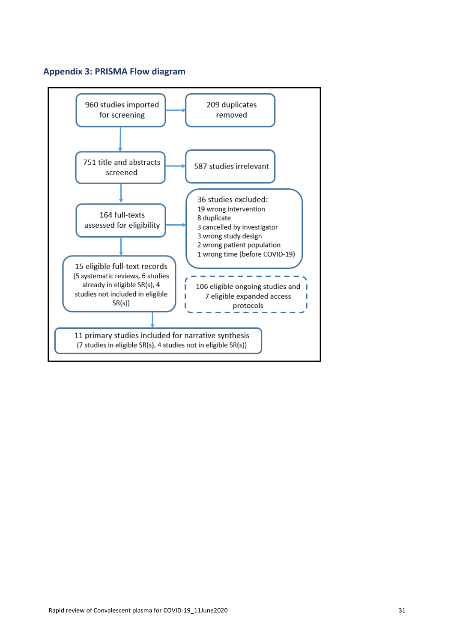## **Appendix 3: PRISMA Flow diagram**

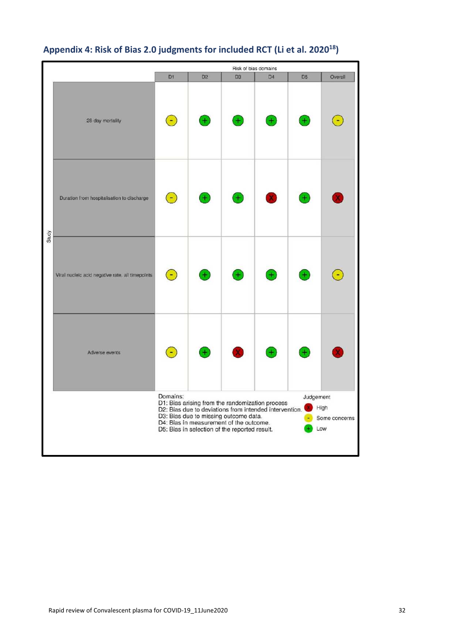

## **Appendix 4: Risk of Bias 2.0 judgments for included RCT (Li et al. 202018)**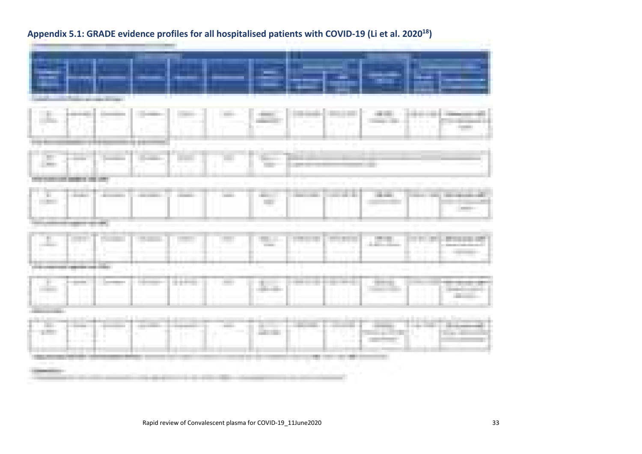| ur u                                     |                      |                                 |                   |                                              |               |              |                   |
|------------------------------------------|----------------------|---------------------------------|-------------------|----------------------------------------------|---------------|--------------|-------------------|
|                                          |                      |                                 |                   |                                              |               |              |                   |
|                                          | Æ                    |                                 |                   |                                              | E             | a part       |                   |
| х                                        | .                    | kini.                           |                   |                                              |               |              |                   |
| m.<br><b>COMMON</b><br><b>CONTRACTOR</b> | <b>CONTRACTOR</b>    | ----------<br><b>COMMERCIAL</b> | <b>COMMERCIAL</b> | <b>CONTRACTOR</b><br><b>STATISTICS</b><br>C. |               | <b>COLOR</b> | <b>CONTRACTOR</b> |
|                                          |                      |                                 |                   |                                              |               |              |                   |
| alla<br>.                                |                      |                                 |                   |                                              |               | m.           |                   |
|                                          |                      |                                 |                   |                                              |               |              |                   |
| <b><i>Products</i></b>                   |                      |                                 |                   |                                              |               |              |                   |
|                                          |                      |                                 |                   |                                              |               |              |                   |
| <b>College College</b><br><b>College</b> | <b>COLLECT</b><br>r. |                                 |                   |                                              | ا الأول<br>94 |              | <b>Service</b>    |
| <b>STATISTICS</b>                        |                      |                                 |                   |                                              |               |              |                   |
|                                          |                      |                                 |                   |                                              |               |              |                   |

## **Appendix 5.1: GRADE evidence profiles for all hospitalised patients with COVID‐19 (Li et al. 202018)**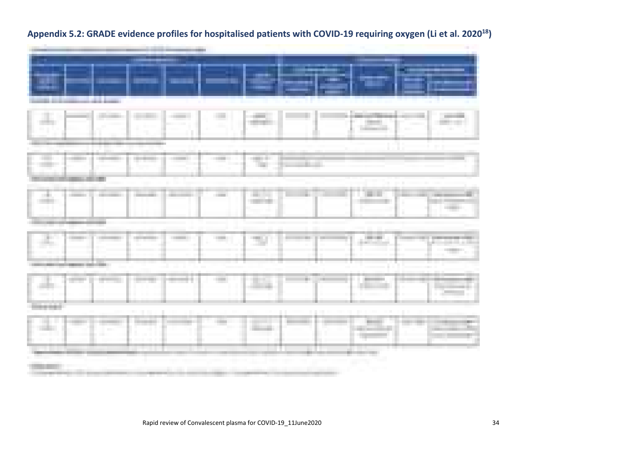|                                        |                         |                    | --                | --                             |                                   |                    |                                       |            |                           |
|----------------------------------------|-------------------------|--------------------|-------------------|--------------------------------|-----------------------------------|--------------------|---------------------------------------|------------|---------------------------|
|                                        | <b>Christmas de Los</b> |                    |                   |                                |                                   | Tarif              |                                       | <b>THE</b> |                           |
|                                        | <b>COMMERCIAL</b>       | <b>The Control</b> | <b>COMMERCIAL</b> | <b>CONTRACTOR</b>              | <b>CONTRACTOR</b>                 | ---                |                                       |            |                           |
| <b>COLOR</b><br><b>START</b><br>and it | commercial con-         |                    |                   | <b>College Inc.</b>            | and the con-<br><b>CONTRACTOR</b> |                    |                                       |            | <b>COMMERCIAL</b>         |
| <b>Barrier</b><br>and a c              | <b>COMMERCIAL</b>       | <b>COMMERCIAL</b>  | <b>COMMERCIAL</b> |                                | <b>COLOR</b>                      | <b>CONTRACTOR</b>  | <b>COLORED IN</b><br>. .              |            |                           |
|                                        | <b>CONTRACTOR</b>       |                    |                   | <b>The Contract of Service</b> |                                   | <b>B. L. HARAS</b> |                                       |            | . .                       |
|                                        |                         |                    |                   |                                |                                   |                    |                                       |            | <b>The Contract</b><br>m. |
|                                        |                         |                    |                   |                                |                                   |                    | and the contract<br><b>STATISTICS</b> |            |                           |

## **Appendix 5.2: GRADE evidence profiles for hospitalised patients with COVID‐19 requiring oxygen (Li et al. 202018)**